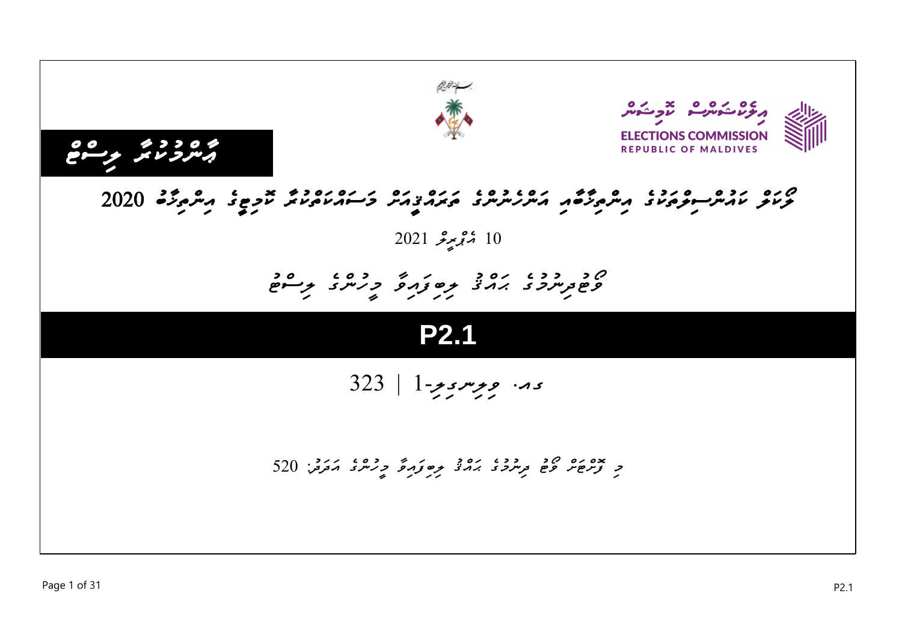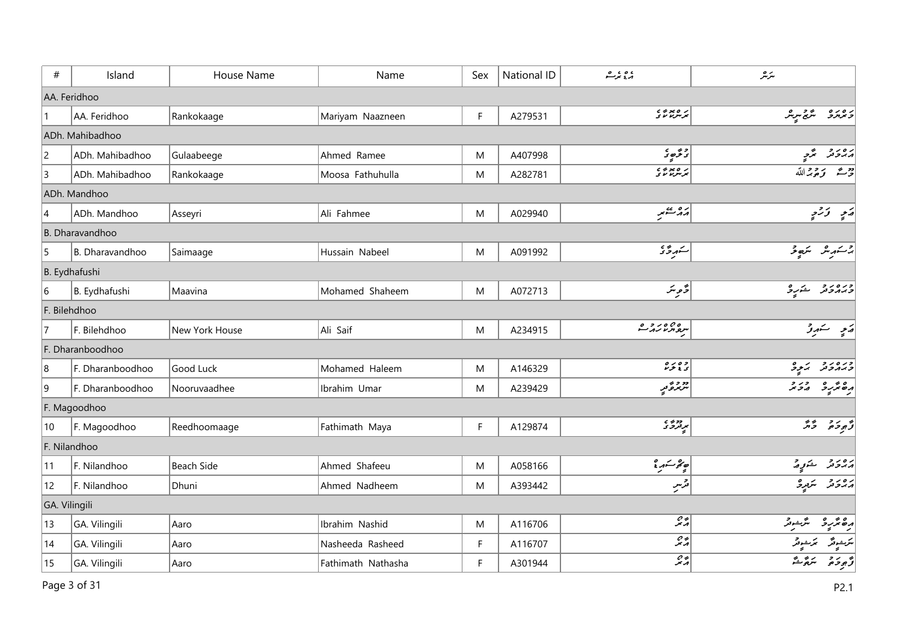| #              | Island           | House Name        | Name               | Sex       | National ID | ، ه ، ره<br>مربح نیر شه               | ىئرىتر                                                                                                                                                                                                                           |  |  |  |
|----------------|------------------|-------------------|--------------------|-----------|-------------|---------------------------------------|----------------------------------------------------------------------------------------------------------------------------------------------------------------------------------------------------------------------------------|--|--|--|
|                | AA. Feridhoo     |                   |                    |           |             |                                       |                                                                                                                                                                                                                                  |  |  |  |
|                | AA. Feridhoo     | Rankokaage        | Mariyam Naazneen   | F         | A279531     | ر ٥ پر د ٠<br>بر سربر ر د             | ر ه ر ه<br>تر برگ<br>ىگەنج سرىگر                                                                                                                                                                                                 |  |  |  |
|                | ADh. Mahibadhoo  |                   |                    |           |             |                                       |                                                                                                                                                                                                                                  |  |  |  |
| $\overline{2}$ | ADh. Mahibadhoo  | Gulaabeege        | Ahmed Ramee        | ${\sf M}$ | A407998     | ا د ژه د<br>ا د ژه                    | ړه پر پر په پ                                                                                                                                                                                                                    |  |  |  |
| 3              | ADh. Mahibadhoo  | Rankokaage        | Moosa Fathuhulla   | ${\sf M}$ | A282781     | ر ٥ پر <i>٤ ٥</i><br>پرس <i>رنا</i> ک | 3- توسيح وحديد الله                                                                                                                                                                                                              |  |  |  |
|                | ADh. Mandhoo     |                   |                    |           |             |                                       |                                                                                                                                                                                                                                  |  |  |  |
|                | ADh. Mandhoo     | Asseyri           | Ali Fahmee         | ${\sf M}$ | A029940     | برهر يحمير                            | أةزمج وترجي                                                                                                                                                                                                                      |  |  |  |
|                | B. Dharavandhoo  |                   |                    |           |             |                                       |                                                                                                                                                                                                                                  |  |  |  |
| 5              | B. Dharavandhoo  | Saimaage          | Hussain Nabeel     | ${\sf M}$ | A091992     | ستهردى                                | ج ڪريش ڪرم ح                                                                                                                                                                                                                     |  |  |  |
|                | B. Eydhafushi    |                   |                    |           |             |                                       |                                                                                                                                                                                                                                  |  |  |  |
| 6              | B. Eydhafushi    | Maavina           | Mohamed Shaheem    | M         | A072713     | ڈَ ءِ سَر                             | ورەرو شەرە                                                                                                                                                                                                                       |  |  |  |
| F. Bilehdhoo   |                  |                   |                    |           |             |                                       |                                                                                                                                                                                                                                  |  |  |  |
| 7              | F. Bilehdhoo     | New York House    | Ali Saif           | ${\sf M}$ | A234915     | ەم ەر دە<br>سرە ئىرىدىك               | أريمو سنهرقر                                                                                                                                                                                                                     |  |  |  |
|                | F. Dharanboodhoo |                   |                    |           |             |                                       |                                                                                                                                                                                                                                  |  |  |  |
| 8              | F. Dharanboodhoo | Good Luck         | Mohamed Haleem     | ${\sf M}$ | A146329     | د ه بر ه<br>د ٤ مر <sup>ر</sup>       | ورەرو بەرو                                                                                                                                                                                                                       |  |  |  |
| 9              | F. Dharanboodhoo | Nooruvaadhee      | Ibrahim Umar       | ${\sf M}$ | A239429     | دد د و.<br>سرچرخو تی <sub>ب</sub>     | 773 37481                                                                                                                                                                                                                        |  |  |  |
|                | F. Magoodhoo     |                   |                    |           |             |                                       |                                                                                                                                                                                                                                  |  |  |  |
| 10             | F. Magoodhoo     | Reedhoomaage      | Fathimath Maya     | F         | A129874     | ود در بر<br>موفر در                   | أدام والملمح والمراجح                                                                                                                                                                                                            |  |  |  |
|                | F. Nilandhoo     |                   |                    |           |             |                                       |                                                                                                                                                                                                                                  |  |  |  |
| 11             | F. Nilandhoo     | <b>Beach Side</b> | Ahmed Shafeeu      | ${\sf M}$ | A058166     | ھ محمد شہر ہے<br>پ                    | رەر ئىكتى ھەر ئىكتىن ئىلەر ئىلان ئىلان ئىلان ئىلان ئىلان ئىلان ئىلان ئىلان ئىلان ئىلان ئىلان ئىلان ئىلان ئىلان<br>ئىلان ئىلان ئىلان ئىلان ئىلان ئىلان ئىلان ئىلان ئىلان ئىلان ئىلان ئىلان ئىلان ئىلان ئىلان ئىلان ئىلان ئىلان ئى |  |  |  |
| 12             | F. Nilandhoo     | Dhuni             | Ahmed Nadheem      | M         | A393442     | و<br>ترسر                             | رەرو ئېرو                                                                                                                                                                                                                        |  |  |  |
| GA. Vilingili  |                  |                   |                    |           |             |                                       |                                                                                                                                                                                                                                  |  |  |  |
| 13             | GA. Vilingili    | Aaro              | Ibrahim Nashid     | M         | A116706     | پر حر                                 | رەڭرىۋە سەھىر                                                                                                                                                                                                                    |  |  |  |
| 14             | GA. Vilingili    | Aaro              | Nasheeda Rasheed   | F         | A116707     | $\overline{\mathcal{L}}$              | ترجيز الرجيز<br>ترجيز الرجيز                                                                                                                                                                                                     |  |  |  |
| 15             | GA. Vilingili    | Aaro              | Fathimath Nathasha | F.        | A301944     | $\mathcal{L}^*$                       | رُّورَهُ سَوَّثَ                                                                                                                                                                                                                 |  |  |  |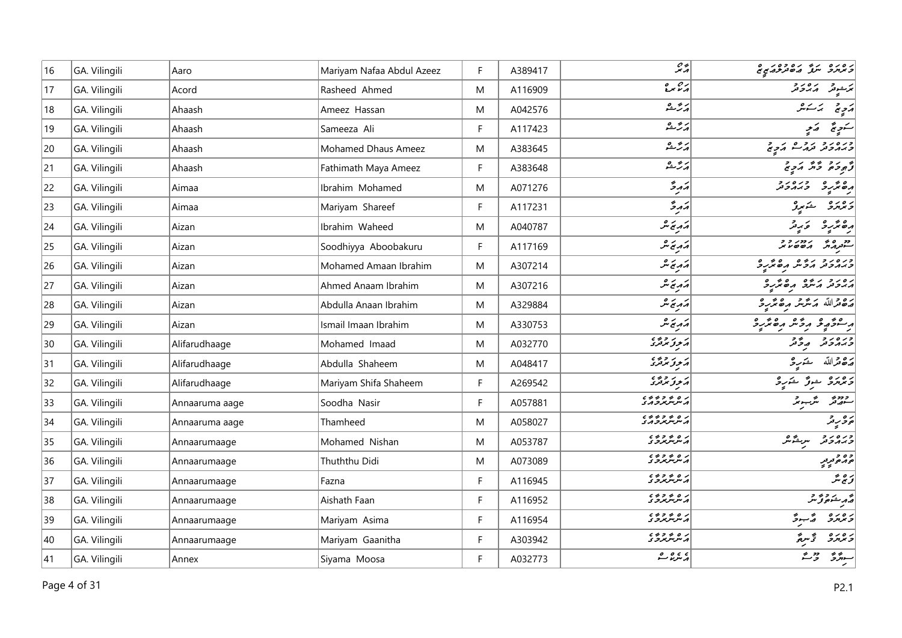| 16 | GA. Vilingili | Aaro           | Mariyam Nafaa Abdul Azeez | F. | A389417 | پرمبر                           | ן פין פייע בייניקיקיק<br>פינו <i>ר בייער הס</i> נק <i>יבה א</i> |
|----|---------------|----------------|---------------------------|----|---------|---------------------------------|-----------------------------------------------------------------|
| 17 | GA. Vilingili | Acord          | Rasheed Ahmed             | M  | A116909 | برج بره                         | پژڪونژ   پر پر دير                                              |
| 18 | GA. Vilingili | Ahaash         | Ameez Hassan              | M  | A042576 | ىرتزىنە                         | ړ <sub>ونځ پر</sub> ېکړ                                         |
| 19 | GA. Vilingili | Ahaash         | Sameeza Ali               | F  | A117423 | برمزينه                         | سكويج الأمو                                                     |
| 20 | GA. Vilingili | Ahaash         | Mohamed Dhaus Ameez       | M  | A383645 | ىر ئەشە                         | כנסגב גבם גבב                                                   |
| 21 | GA. Vilingili | Ahaash         | Fathimath Maya Ameez      | F  | A383648 | ىر ئەھ                          | و و ده و د کرد د                                                |
| 22 | GA. Vilingili | Aimaa          | Ibrahim Mohamed           | M  | A071276 | بردر                            | و ره ر و<br><i>د ب</i> رگرفر<br>ەر ھەتتەر 2<br>ر                |
| 23 | GA. Vilingili | Aimaa          | Mariyam Shareef           | F  | A117231 | بزمر                            | ر ه ر ه<br><del>د</del> بربرگ<br>شقە بىرى                       |
| 24 | GA. Vilingili | Aizan          | Ibrahim Waheed            | M  | A040787 | ەز بە ئەشر                      | ەھ ئۈر ۋ<br>ى بر قر                                             |
| 25 | GA. Vilingili | Aizan          | Soodhiyya Aboobakuru      | F. | A117169 | ەزىر ئەشر                       | ردو ه پر<br>77/77/                                              |
| 26 | GA. Vilingili | Aizan          | Mohamed Amaan Ibrahim     | M  | A307214 | ەزىرى شر                        | כנסגב גבים נספים<br>בגמבת מכית מסיקגב                           |
| 27 | GA. Vilingili | Aizan          | Ahmed Anaam Ibrahim       | M  | A307216 | ەزىرى شر                        | גם ג'ב ג'ונים הפיציב                                            |
| 28 | GA. Vilingili | Aizan          | Abdulla Anaan Ibrahim     | M  | A329884 | ەزىر ئەشر                       | رە داللە مەنگەر مەھمگەد                                         |
| 29 | GA. Vilingili | Aizan          | Ismail Imaan Ibrahim      | M  | A330753 | ەزىرى شر                        | ړ څوګږی رومر رهنر د                                             |
| 30 | GA. Vilingili | Alifarudhaage  | Mohamed Imaad             | M  | A032770 | پر و تروپر                      | כנסני היכת<br><i>כג</i> הכת הכת                                 |
| 31 | GA. Vilingili | Alifarudhaage  | Abdulla Shaheem           | M  | A048417 | بر بر و د ،<br>پروژ برترد       | مَدْهُ مَّرَاللَّهُ شَوَرِدْ                                    |
| 32 | GA. Vilingili | Alifarudhaage  | Mariyam Shifa Shaheem     | F. | A269542 | ە ئىرى ئىرىترى                  | ويمهروا لمواز المكرو                                            |
| 33 | GA. Vilingili | Annaaruma aage | Soodha Nasir              | F. | A057881 | ر ه <i>و و و و و</i><br>پرس     | ستەھر<br>ىئرىبەير                                               |
| 34 | GA. Vilingili | Annaaruma aage | Thamheed                  | M  | A058027 | ر ه و و و و د<br>د س س پر و د د | ە ئەرىتىر                                                       |
| 35 | GA. Vilingili | Annaarumaage   | Mohamed Nishan            | M  | A053787 | ر ۵ ۶ و ۶ ء<br>مرس سر پر و ی    | و رە ر د<br><i>د بە</i> پەر<br>سرىشەشر                          |
| 36 | GA. Vilingili | Annaarumaage   | Thuththu Didi             | M  | A073089 | ر ۵ ۶ ۶ ۶ ۶<br>۸ سرسربرو ی      | و ه د تربر<br>محمد محمد                                         |
| 37 | GA. Vilingili | Annaarumaage   | Fazna                     | F  | A116945 | ر ه پر و پر و<br>پر سرسربر و ی  | ئە ئەشر                                                         |
| 38 | GA. Vilingili | Annaarumaage   | Aishath Faan              | F  | A116952 | ر ه ۶ و ۶ و<br>د سرسربرو د      | ۇ مەسىم ئەرەپىتى<br>مەس                                         |
| 39 | GA. Vilingili | Annaarumaage   | Mariyam Asima             | F  | A116954 | ر ۵ ۶ ۶ و ۶<br>۸ سرسرپرو ی      | ر ه ر ه<br>د بربرد<br>رژ-بەر                                    |
| 40 | GA. Vilingili | Annaarumaage   | Mariyam Gaanitha          | F. | A303942 | ر ه په وو ،<br>مرس پر پر و ی    | ر ه ر ه<br>د بربر د<br>تۇسۇ                                     |
| 41 | GA. Vilingili | Annex          | Siyama Moosa              | F  | A032773 | ې پره ه<br>مرس                  | سەرىخ ئۇڭ                                                       |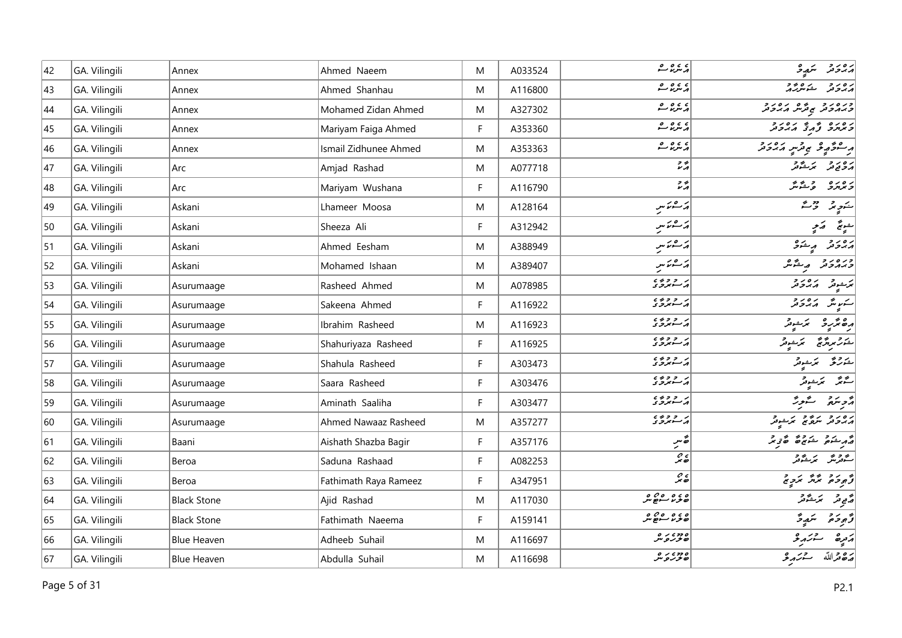| 42 | GA. Vilingili | Annex              | Ahmed Naeem           | M  | A033524 | ې <sup>پ</sup> ره ه<br>مرس                      | رەر ئىمەد                                                                                            |
|----|---------------|--------------------|-----------------------|----|---------|-------------------------------------------------|------------------------------------------------------------------------------------------------------|
| 43 | GA. Vilingili | Annex              | Ahmed Shanhau         | M  | A116800 | ې پره ه                                         | رەرد شەرىر                                                                                           |
| 44 | GA. Vilingili | Annex              | Mohamed Zidan Ahmed   | M  | A327302 | ې <sup>پ</sup> ره ه<br>مرس                      | ورەرو بەرگە دەرو                                                                                     |
| 45 | GA. Vilingili | Annex              | Mariyam Faiga Ahmed   | F. | A353360 | ې <sup>په ۵</sup> ۶ ک                           | ويرمزو ومرتج متادوند                                                                                 |
| 46 | GA. Vilingili | Annex              | Ismail Zidhunee Ahmed | M  | A353363 | ې په <i>۵ د</i>                                 | ړ ه څوپه پورس پره ده.                                                                                |
| 47 | GA. Vilingili | Arc                | Amjad Rashad          | M  | A077718 | $\stackrel{\circ}{\nu}$                         | رە رو بەر شەر<br>مەن بىر ئىستى                                                                       |
| 48 | GA. Vilingili | Arc                | Mariyam Wushana       | F. | A116790 | $\stackrel{\circ}{\nu}$                         | رەرە قىشەگە                                                                                          |
| 49 | GA. Vilingili | Askani             | Lhameer Moosa         | M  | A128164 | ارتقىماسر                                       | أينبو يتمر وحرثتم                                                                                    |
| 50 | GA. Vilingili | Askani             | Sheeza Ali            | F  | A312942 | بر <u>م</u> شر میں                              |                                                                                                      |
| 51 | GA. Vilingili | Askani             | Ahmed Eesham          | M  | A388949 | ارتقىمىتىر                                      |                                                                                                      |
| 52 | GA. Vilingili | Askani             | Mohamed Ishaan        | M  | A389407 | بر <u>م</u> شر تىر                              | ورەرو مىشەر                                                                                          |
| 53 | GA. Vilingili | Asurumaage         | Rasheed Ahmed         | M  | A078985 | ر په ده ده د                                    | بر <sub>کشو</sub> تر برورد<br>ابرکشوتر بربروتر                                                       |
| 54 | GA. Vilingili | Asurumaage         | Sakeena Ahmed         | F  | A116922 | ر د د د ،<br>د سنترو د                          | سكيانكر المركز وراد                                                                                  |
| 55 | GA. Vilingili | Asurumaage         | Ibrahim Rasheed       | M  | A116923 | ر و و د »<br>پرستوری                            | رەپرىرو برخونى<br>رەپرىرو برخونى                                                                     |
| 56 | GA. Vilingili | Asurumaage         | Shahuriyaza Rasheed   | F  | A116925 | ر و و ده ،<br>پرستوری                           | شكرتمرونج المرشوقر                                                                                   |
| 57 | GA. Vilingili | Asurumaage         | Shahula Rasheed       | F  | A303473 | ر و و د »<br>پرستوری                            | أخترقى المرشوش                                                                                       |
| 58 | GA. Vilingili | Asurumaage         | Saara Rasheed         | F  | A303476 | ر د د د ،<br>د سنترو د                          | الشريح المحر مشوقر<br>السريح المحر مشوقر                                                             |
| 59 | GA. Vilingili | Asurumaage         | Aminath Saaliha       | F. | A303477 | ر و و د و<br>پرسه پوژ <sub>ک</sub>              | أأدبتهم ستورثه                                                                                       |
| 60 | GA. Vilingili | Asurumaage         | Ahmed Nawaaz Rasheed  | M  | A357277 | ر د د ده ،<br>د سنترو د                         | ر ور د پر د د کرت و                                                                                  |
| 61 | GA. Vilingili | Baani              | Aishath Shazba Bagir  | F  | A357176 | ځ سر                                            | م الله عنه عنه الله عنه الله عنه الله عنه الله عنه الله عنه الله عنه الله عنه الله عنه الله عنه الله |
| 62 | GA. Vilingili | Beroa              | Saduna Rashaad        | F  | A082253 | ى مە                                            | ر<br>سگورمگر گرسگور                                                                                  |
| 63 | GA. Vilingili | Beroa              | Fathimath Raya Rameez | F  | A347951 | $\overline{\mathcal{L}_{\varphi}^{\mathcal{E}}$ | أوجوحهم بمراكبهم برجيح                                                                               |
| 64 | GA. Vilingili | <b>Black Stone</b> | Ajid Rashad           | M  | A117030 | ه <i>و وه وه و.</i>                             | ەڭ بۇ ئەيدىگە ئە                                                                                     |
| 65 | GA. Vilingili | <b>Black Stone</b> | Fathimath Naeema      | F  | A159141 | ە يە ە مەھ بىر                                  | و و ده سمد و                                                                                         |
| 66 | GA. Vilingili | <b>Blue Heaven</b> | Adheeb Suhail         | M  | A116697 | ه دوی ر ه<br><i>ه مور</i> ه مگر                 | ر<br>مەمرە سىزىرى                                                                                    |
| 67 | GA. Vilingili | <b>Blue Heaven</b> | Abdulla Suhail        | M  | A116698 | ه دد ، ر ه<br>ن <i>ه م</i> حرم مگر              | رە قراللە ئەركە                                                                                      |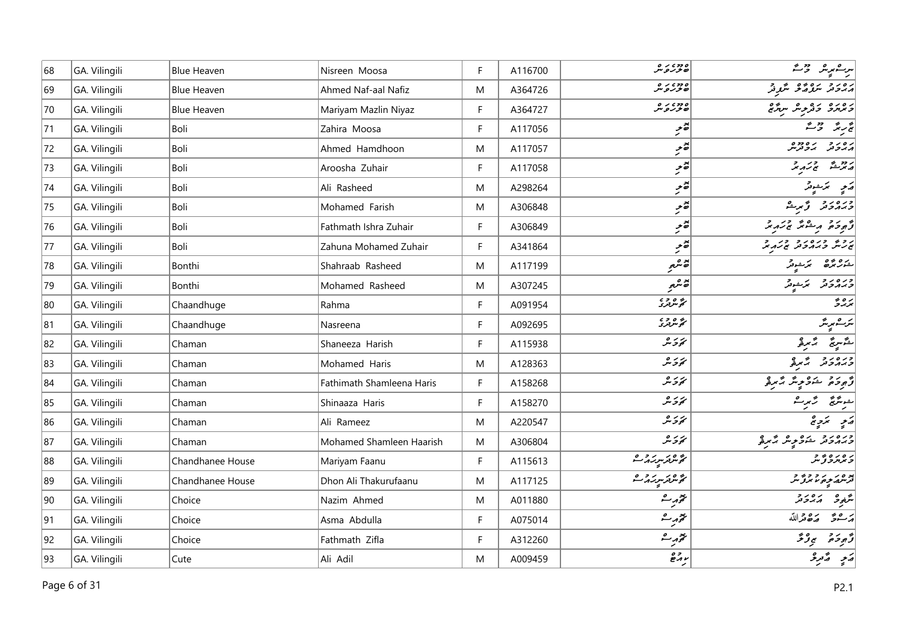| 68           | GA. Vilingili | <b>Blue Heaven</b> | Nisreen Moosa             | F         | A116700 | ه دد ، ر ه<br><i>ه ور و</i> س                                                | سرگ مریش وحرکتے                                                                              |
|--------------|---------------|--------------------|---------------------------|-----------|---------|------------------------------------------------------------------------------|----------------------------------------------------------------------------------------------|
| 69           | GA. Vilingili | <b>Blue Heaven</b> | Ahmed Naf-aal Nafiz       | M         | A364726 | ه دو ، ر ه<br><i>ه مور و</i> س                                               | رەرد رەمۇم شرقر                                                                              |
| 70           | GA. Vilingili | <b>Blue Heaven</b> | Mariyam Mazlin Niyaz      | F         | A364727 | ه دد د ره<br>حور و س                                                         | ويرتزو وذروشه سرتمع                                                                          |
| 71           | GA. Vilingili | Boli               | Zahira Moosa              | F         | A117056 | قلحر                                                                         | $\begin{bmatrix} 2 & 2 \\ -2 & 2 \end{bmatrix}$                                              |
| 72           | GA. Vilingili | Boli               | Ahmed Hamdhoon            | M         | A117057 | قامز                                                                         | ره رو ده ده و<br>مهرونر مرونرس                                                               |
| 73           | GA. Vilingili | Boli               | Aroosha Zuhair            | F         | A117058 | قصعر                                                                         | كەچرىش جىرمەتتى                                                                              |
| 74           | GA. Vilingili | Boli               | Ali Rasheed               | ${\sf M}$ | A298264 | پو<br>ھو                                                                     | أركمني المخرجور                                                                              |
| 75           | GA. Vilingili | Boli               | Mohamed Farish            | ${\sf M}$ | A306848 | پو<br>خو                                                                     | ورەرو ۋىر                                                                                    |
| 76           | GA. Vilingili | Boli               | Fathmath Ishra Zuhair     | F         | A306849 | قامز                                                                         | ژوده مشر وزمر                                                                                |
| 77           | GA. Vilingili | Boli               | Zahuna Mohamed Zuhair     | F         | A341864 | قلحر                                                                         | ז כל כנסיד כנגב                                                                              |
| 78           | GA. Vilingili | Bonthi             | Shahraab Rasheed          | M         | A117199 | بره<br>صنرم                                                                  | ره ده<br>شور بره برشوتر                                                                      |
| 79           | GA. Vilingili | Bonthi             | Mohamed Rasheed           | ${\sf M}$ | A307245 | قاشعر                                                                        | ورەرو كەنبەتر                                                                                |
| 80           | GA. Vilingili | Chaandhuge         | Rahma                     | F         | A091954 | پر و و ،<br>کارمرور                                                          | بره و                                                                                        |
| 81           | GA. Vilingili | Chaandhuge         | Nasreena                  | F         | A092695 | ر و و د<br>کارمربوری                                                         |                                                                                              |
| 82           | GA. Vilingili | Chaman             | Shaneeza Harish           | F         | A115938 | ىجە خەشر                                                                     |                                                                                              |
| 83           | GA. Vilingili | Chaman             | Mohamed Haris             | ${\sf M}$ | A128363 | ىئەر ھ                                                                       |                                                                                              |
| 84           | GA. Vilingili | Chaman             | Fathimath Shamleena Haris | F         | A158268 | ىئەر بىر                                                                     |                                                                                              |
| 85           | GA. Vilingili | Chaman             | Shinaaza Haris            | F         | A158270 | ىجە خەشر                                                                     | أ <sub>گ</sub> وكوكو شكوموند ي <sub>كير</sub> كي<br>أكبوكوكو شكوموند يكيركي<br>مكمو الكرمونج |
| 86           | GA. Vilingili | Chaman             | Ali Rameez                | ${\sf M}$ | A220547 | ىجە خەشر                                                                     |                                                                                              |
| 87           | GA. Vilingili | Chaman             | Mohamed Shamleen Haarish  | ${\sf M}$ | A306804 | ىجە خەشر                                                                     | ورەرد مەدوپىر شرە                                                                            |
| 88           | GA. Vilingili | Chandhanee House   | Mariyam Faanu             | F         | A115613 | ىم مى <i>رى بىرىدۇ</i> ب                                                     | ر ه ر ه و و<br><del>د</del> بربرو ژ س                                                        |
| 89           | GA. Vilingili | Chandhanee House   | Dhon Ali Thakurufaanu     | ${\sf M}$ | A117125 | ى ئىر قىرى <i>س ئەڭرى</i>                                                    | برە <i>مەر بەر بەر ئە</i> ر                                                                  |
| $ 90\rangle$ | GA. Vilingili | Choice             | Nazim Ahmed               | ${\sf M}$ | A011880 | پچ <sub>ھ ہے</sub><br>—                                                      | بترجو برورد                                                                                  |
| 91           | GA. Vilingili | Choice             | Asma Abdulla              | F         | A075014 | پو <sub>م</sub> رے<br>محم                                                    | ىر ئەبىخ<br>صقعرالله                                                                         |
| 92           | GA. Vilingili | Choice             | Fathmath Zifla            | F         | A312260 | ستجرجه                                                                       | رًّمُوحَمْ بِيرْ مُحْ                                                                        |
| 93           | GA. Vilingili | Cute               | Ali Adil                  | M         | A009459 | $\overset{o}{\mathcal{E}}\overset{o}{\mathcal{A}}\overset{\nu}{\mathcal{L}}$ | ړکې د ډېرو                                                                                   |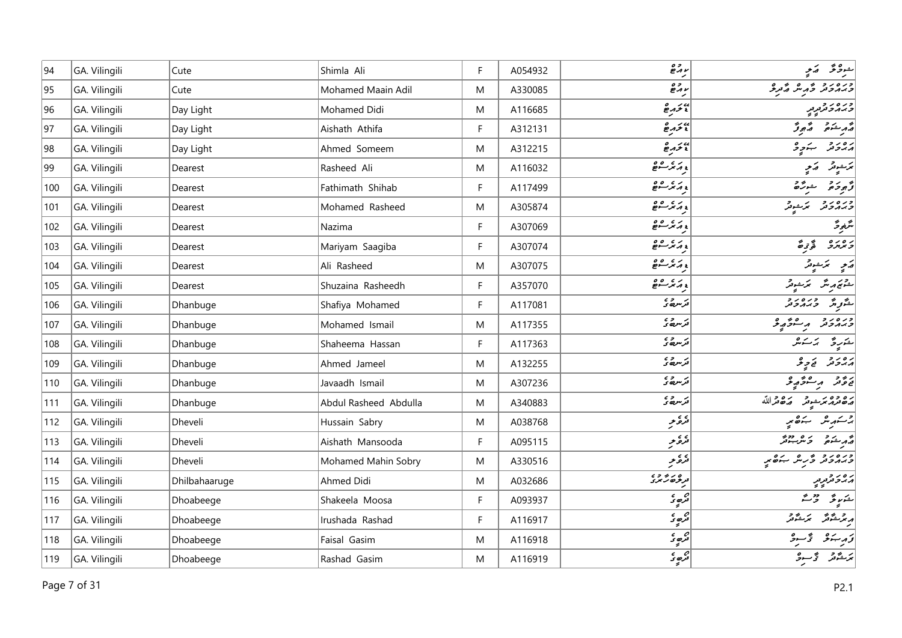| 94  | GA. Vilingili | Cute          | Shimla Ali            | F           | A054932 | $\stackrel{o}{\sim}$       | أخوقرقر أكامج                                                                                                                                                                                                                                                                                                                                                                                                                                                                                                          |
|-----|---------------|---------------|-----------------------|-------------|---------|----------------------------|------------------------------------------------------------------------------------------------------------------------------------------------------------------------------------------------------------------------------------------------------------------------------------------------------------------------------------------------------------------------------------------------------------------------------------------------------------------------------------------------------------------------|
| 95  | GA. Vilingili | Cute          | Mohamed Maain Adil    | M           | A330085 | برزهي                      | כנסגב המית התפ                                                                                                                                                                                                                                                                                                                                                                                                                                                                                                         |
| 96  | GA. Vilingili | Day Light     | Mohamed Didi          | M           | A116685 | ۽ تزريح                    | و ره ر و<br>د په پروترترتر                                                                                                                                                                                                                                                                                                                                                                                                                                                                                             |
| 97  | GA. Vilingili | Day Light     | Aishath Athifa        | F           | A312131 | اء بر مع<br>المؤمر ه       |                                                                                                                                                                                                                                                                                                                                                                                                                                                                                                                        |
| 98  | GA. Vilingili | Day Light     | Ahmed Someem          | M           | A312215 | اء تر ہے<br>ا              | رەرو بەرو                                                                                                                                                                                                                                                                                                                                                                                                                                                                                                              |
| 99  | GA. Vilingili | Dearest       | Rasheed Ali           | M           | A116032 | ورنز شق                    | پرَجونز - پرَجِ                                                                                                                                                                                                                                                                                                                                                                                                                                                                                                        |
| 100 | GA. Vilingili | Dearest       | Fathimath Shihab      | F           | A117499 |                            | توجوحتمو الشورصي                                                                                                                                                                                                                                                                                                                                                                                                                                                                                                       |
| 101 | GA. Vilingili | Dearest       | Mohamed Rasheed       | M           | A305874 | ۽ ٻر بر <sub>ع</sub> ھ     | ورەرو كەنبەتى                                                                                                                                                                                                                                                                                                                                                                                                                                                                                                          |
| 102 | GA. Vilingili | Dearest       | Nazima                | F           | A307069 | ۽ پر بر <sub>ع</sub> ۾     | ش <sub>فج</sub> رمح                                                                                                                                                                                                                                                                                                                                                                                                                                                                                                    |
| 103 | GA. Vilingili | Dearest       | Mariyam Saagiba       | $\mathsf F$ | A307074 | $rac{1}{2}$                | ر ه ر ه<br><del>ر</del> بربرو<br>د گرنز حگ                                                                                                                                                                                                                                                                                                                                                                                                                                                                             |
| 104 | GA. Vilingili | Dearest       | Ali Rasheed           | M           | A307075 | $rac{c}{c}$                | أوكمني المخرجين                                                                                                                                                                                                                                                                                                                                                                                                                                                                                                        |
| 105 | GA. Vilingili | Dearest       | Shuzaina Rasheedh     | F           | A357070 |                            | ر دید که بر شوند<br>شونج مرسگر محرشوند                                                                                                                                                                                                                                                                                                                                                                                                                                                                                 |
| 106 | GA. Vilingili | Dhanbuge      | Shafiya Mohamed       | $\mathsf F$ | A117081 | ترسره ء                    | شرور ورودو                                                                                                                                                                                                                                                                                                                                                                                                                                                                                                             |
| 107 | GA. Vilingili | Dhanbuge      | Mohamed Ismail        | ${\sf M}$   | A117355 | ترسره ی                    |                                                                                                                                                                                                                                                                                                                                                                                                                                                                                                                        |
| 108 | GA. Vilingili | Dhanbuge      | Shaheema Hassan       | F           | A117363 | ترسره ی                    | لمكانياتي الكاسكانس                                                                                                                                                                                                                                                                                                                                                                                                                                                                                                    |
| 109 | GA. Vilingili | Dhanbuge      | Ahmed Jameel          | ${\sf M}$   | A132255 | ترسره ء                    | بروزة يأولى                                                                                                                                                                                                                                                                                                                                                                                                                                                                                                            |
| 110 | GA. Vilingili | Dhanbuge      | Javaadh Ismail        | M           | A307236 | ر<br>ترسرچ ی               | د د د د د د پرو                                                                                                                                                                                                                                                                                                                                                                                                                                                                                                        |
| 111 | GA. Vilingili | Dhanbuge      | Abdul Rasheed Abdulla | M           | A340883 | ترسرچ                      | ره وه مر <sub>شو</sub> تر مگرالله                                                                                                                                                                                                                                                                                                                                                                                                                                                                                      |
| 112 | GA. Vilingili | Dheveli       | Hussain Sabry         | M           | A038768 | قرغر محر                   | بر سكور شركة المحديد                                                                                                                                                                                                                                                                                                                                                                                                                                                                                                   |
| 113 | GA. Vilingili | Dheveli       | Aishath Mansooda      | F           | A095115 | قرءً محر                   | د در ده دور<br>د کرد شوی و س                                                                                                                                                                                                                                                                                                                                                                                                                                                                                           |
| 114 | GA. Vilingili | Dheveli       | Mohamed Mahin Sobry   | M           | A330516 | قرغر محر                   | ورەرو ئەرش سەھىر                                                                                                                                                                                                                                                                                                                                                                                                                                                                                                       |
| 115 | GA. Vilingili | Dhilbahaaruge | Ahmed Didi            | M           | A032686 | وره در در در در با         | ر ە ر و<br>م.ر تەترىرىر                                                                                                                                                                                                                                                                                                                                                                                                                                                                                                |
| 116 | GA. Vilingili | Dhoabeege     | Shakeela Moosa        | F           | A093937 | ە<br>مەرچە                 | $\begin{array}{cc} \begin{array}{cc} \mathcal{L} & \mathcal{L} \\ \mathcal{L} & \mathcal{L} \end{array} & \begin{array}{cc} \mathcal{L} \\ \mathcal{L} \end{array} & \begin{array}{cc} \mathcal{L} \\ \mathcal{L} \end{array} & \begin{array}{cc} \mathcal{L} \\ \mathcal{L} \end{array} & \begin{array}{cc} \mathcal{L} \\ \mathcal{L} \end{array} & \begin{array}{cc} \mathcal{L} \\ \mathcal{L} \end{array} & \begin{array}{cc} \mathcal{L} \\ \mathcal{L} \end{array} & \begin{array}{cc} \mathcal{L} \\ \mathcal$ |
| 117 | GA. Vilingili | Dhoabeege     | Irushada Rashad       | F           | A116917 | ر<br>مرچ                   | مەرشۇقى ئەشكەر                                                                                                                                                                                                                                                                                                                                                                                                                                                                                                         |
| 118 | GA. Vilingili | Dhoabeege     | Faisal Gasim          | M           | A116918 | ە<br>مەھمىيەتى<br>مەسمىيەت | تەرىبىق قۇسۇ                                                                                                                                                                                                                                                                                                                                                                                                                                                                                                           |
| 119 | GA. Vilingili | Dhoabeege     | Rashad Gasim          | M           | A116919 | ە<br>مەرچە                 | ىر شەر ئۇسىر                                                                                                                                                                                                                                                                                                                                                                                                                                                                                                           |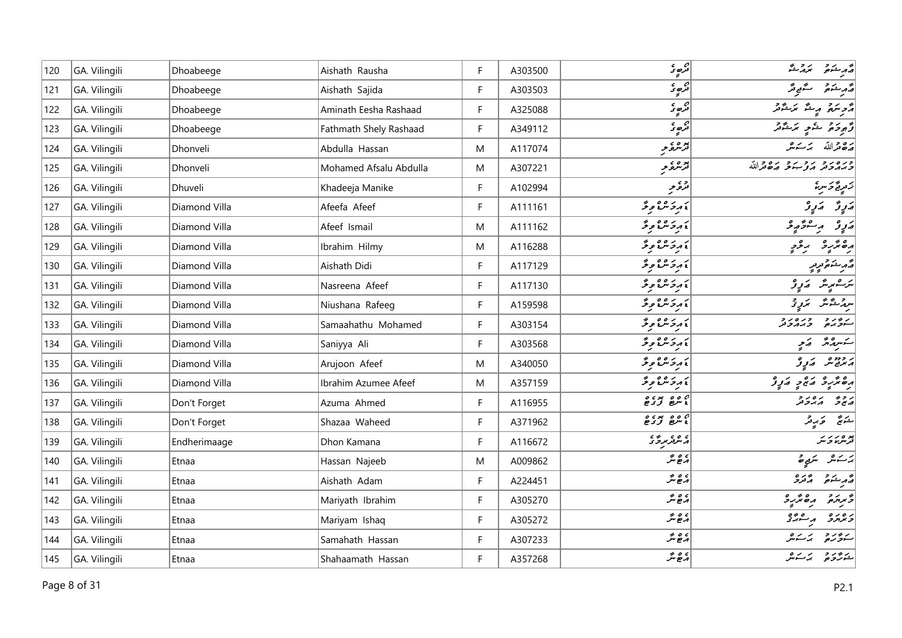| 120 | GA. Vilingili | Dhoabeege     | Aishath Rausha         | $\mathsf F$ | A303500 | ە<br>مەھمى                                            |                                                                                                                                                                                                                                 |
|-----|---------------|---------------|------------------------|-------------|---------|-------------------------------------------------------|---------------------------------------------------------------------------------------------------------------------------------------------------------------------------------------------------------------------------------|
| 121 | GA. Vilingili | Dhoabeege     | Aishath Sajida         | F           | A303503 | ام<br>مرچ د                                           | ۇرىشكى سىھىقە                                                                                                                                                                                                                   |
| 122 | GA. Vilingili | Dhoabeege     | Aminath Eesha Rashaad  | $\mathsf F$ | A325088 | ە<br>مەھمىيە<br>مەھمىيە                               | و دو ده چگو بردود.<br>در سره دستگو برشود                                                                                                                                                                                        |
| 123 | GA. Vilingili | Dhoabeege     | Fathmath Shely Rashaad | F           | A349112 | كرصي                                                  | ۇۋەق شېر ترىشى                                                                                                                                                                                                                  |
| 124 | GA. Vilingili | Dhonveli      | Abdulla Hassan         | M           | A117074 | قريره عبر                                             | مَدْ هُمْراللّه بَرْ سَمْسْر                                                                                                                                                                                                    |
| 125 | GA. Vilingili | Dhonveli      | Mohamed Afsalu Abdulla | M           | A307221 | بره ،<br>تر مر <sub>فر</sub> مر                       | ورەرو رورو رە دەرالله                                                                                                                                                                                                           |
| 126 | GA. Vilingili | Dhuveli       | Khadeeja Manike        | F.          | A102994 | قرة محر                                               | زَ مَرِيَّ تَرْ سِرْءَ                                                                                                                                                                                                          |
| 127 | GA. Vilingili | Diamond Villa | Afeefa Afeef           | $\mathsf F$ | A111161 | )<br>) أمر حَسنة عرف                                  | ر<br>مزر مزر                                                                                                                                                                                                                    |
| 128 | GA. Vilingili | Diamond Villa | Afeef Ismail           | M           | A111162 | ئەر ئەنىۋە بۇ                                         | مَرِرْ مِــْحَمِّـدِ                                                                                                                                                                                                            |
| 129 | GA. Vilingili | Diamond Villa | Ibrahim Hilmy          | M           | A116288 | ئەر ئەنىدى ھ                                          | برقرح                                                                                                                                                                                                                           |
| 130 | GA. Vilingili | Diamond Villa | Aishath Didi           | F           | A117129 | ن <sub>ە م</sub> رىشا <sub> ئو</sub> ر                |                                                                                                                                                                                                                                 |
| 131 | GA. Vilingili | Diamond Villa | Nasreena Afeef         | F           | A117130 | ن <sub>ە ئ</sub> ەر ئەھمىي ئە                         | ترے پر شہر کے پارٹی کے مالک کے مالک کے مالک کے مالک کے منابعات کے مقدم کے مالک کے مالک کے مالک کے مالک کے مالک<br>منابع کے مالک کے مالک کے مالک کے مالک کے مالک کے مالک کے مالک کے مالک کرنے کے مالک کے مالک کے مالک کے مالک کے |
| 132 | GA. Vilingili | Diamond Villa | Niushana Rafeeg        | F           | A159598 | } ربر عده حرقه                                        | .<br>سرگەشگىر ترك <sub>و</sub> لۇ                                                                                                                                                                                               |
| 133 | GA. Vilingili | Diamond Villa | Samaahathu Mohamed     | F           | A303154 | ن <sub>ە ب</sub> رىشا <sub> ئو</sub> ر                | ر در دره در                                                                                                                                                                                                                     |
| 134 | GA. Vilingili | Diamond Villa | Saniyya Ali            | F           | A303568 | } ربر عدد عرقه                                        | سەمدىكە ئەير                                                                                                                                                                                                                    |
| 135 | GA. Vilingili | Diamond Villa | Arujoon Afeef          | M           | A340050 | } ربر عدده عرقه                                       | ן כמה סוק בי<br>הייגוביית והקנ                                                                                                                                                                                                  |
| 136 | GA. Vilingili | Diamond Villa | Ibrahim Azumee Afeef   | M           | A357159 | ئەر ئەشۋە ئوقە                                        | גפת ב ג'ב בַּבְּי בַּנְצ                                                                                                                                                                                                        |
| 137 | GA. Vilingili | Don't Forget  | Azuma Ahmed            | F           | A116955 | م مرم سره م<br>مسرح ترکي                              | روه ره رو                                                                                                                                                                                                                       |
| 138 | GA. Vilingili | Don't Forget  | Shazaa Waheed          | F           | A371962 | م م م م م م م م م<br>  <b>و</b> سم <i>مبر</i> م م م م | لشنج وَبرِتْر                                                                                                                                                                                                                   |
| 139 | GA. Vilingili | Endherimaage  | Dhon Kamana            | $\mathsf F$ | A116672 | ې ه دې په <sup>د</sup> ې                              | بر ہ ر ر<br>ترس کر س                                                                                                                                                                                                            |
| 140 | GA. Vilingili | Etnaa         | Hassan Najeeb          | M           | A009862 | ء ۾ سُر                                               | يُرْسَرُ مَرْ مِرْجِرِ صَحْرِ                                                                                                                                                                                                   |
| 141 | GA. Vilingili | Etnaa         | Aishath Adam           | $\mathsf F$ | A224451 | پره پر                                                | و دره وره<br>مهرشتمو مقرد                                                                                                                                                                                                       |
| 142 | GA. Vilingili | Etnaa         | Mariyath Ibrahim       | F           | A305270 | پر هو سر                                              |                                                                                                                                                                                                                                 |
| 143 | GA. Vilingili | Etnaa         | Mariyam Ishaq          | $\mathsf F$ | A305272 | پر هو سر                                              | נפנס הפישה                                                                                                                                                                                                                      |
| 144 | GA. Vilingili | Etnaa         | Samahath Hassan        | F           | A307233 | پر هو سر                                              | سەدرە بەسەنلە                                                                                                                                                                                                                   |
| 145 | GA. Vilingili | Etnaa         | Shahaamath Hassan      | F           | A357268 | پر ه پر                                               | كالمروح الاسكان                                                                                                                                                                                                                 |
|     |               |               |                        |             |         |                                                       |                                                                                                                                                                                                                                 |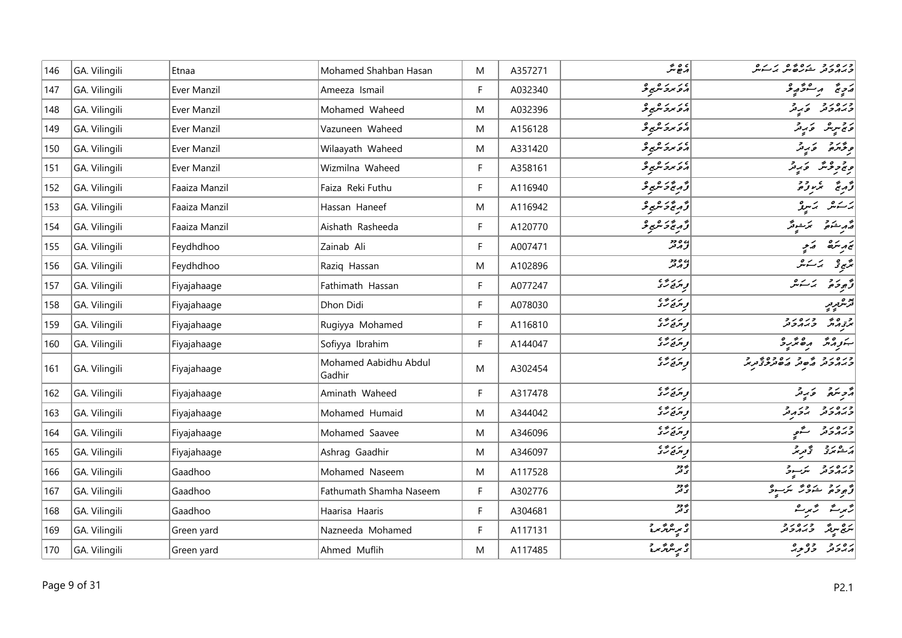| 146 | GA. Vilingili | Etnaa         | Mohamed Shahban Hasan           | M           | A357271 | ء ۽ شر                                                  | ورەرو روۋە ئەسكەر                                                                                                             |
|-----|---------------|---------------|---------------------------------|-------------|---------|---------------------------------------------------------|-------------------------------------------------------------------------------------------------------------------------------|
| 147 | GA. Vilingili | Ever Manzil   | Ameeza Ismail                   | $\mathsf F$ | A032340 | ە ئەبرىز ش <sub>كى</sub> رى<br>مەمەر ئىرى               | برىشۇپەيۋ<br>لەرچ                                                                                                             |
| 148 | GA. Vilingili | Ever Manzil   | Mohamed Waheed                  | M           | A032396 | پرېم پرېشبې څر                                          | ورەر دىرو                                                                                                                     |
| 149 | GA. Vilingili | Ever Manzil   | Vazuneen Waheed                 | M           | A156128 | <i>ج ئە بىر ئە</i> ش <sub>ە</sub> بۇ                    | وَجْسٍبْرٌ وَرِيْرٌ                                                                                                           |
| 150 | GA. Vilingili | Ever Manzil   | Wilaayath Waheed                | M           | A331420 | ە ئەسەئەرى<br>مۇسەئىرى                                  | و څرمړه ورو                                                                                                                   |
| 151 | GA. Vilingili | Ever Manzil   | Wizmilna Waheed                 | $\mathsf F$ | A358161 | پر پر پر م <sub>کم</sub> بو<br>  پر <i>بر پر شر</i> ېبو | وېږوونګر وَړیز                                                                                                                |
| 152 | GA. Vilingili | Faaiza Manzil | Faiza Reki Futhu                | F           | A116940 | ۇر <sub>ى</sub> ج ئەندى <sub>ر</sub> ۋ                  | وَمِيعَ بِمَبِروْهِ                                                                                                           |
| 153 | GA. Vilingili | Faaiza Manzil | Hassan Haneef                   | M           | A116942 | ژٌېر پر د عربې څر                                       | ىز ئەش برىنىدۇ                                                                                                                |
| 154 | GA. Vilingili | Faaiza Manzil | Aishath Rasheeda                | F           | A120770 | ۇر <sub>ى</sub> ج ئەندى <sub>ر</sub> ۋ                  | كمرشكم كمشيكر                                                                                                                 |
| 155 | GA. Vilingili | Feydhdhoo     | Zainab Ali                      | $\mathsf F$ | A007471 | ړه دو<br>تو پر تر                                       | $\frac{1}{2\pi}\int_{0}^{\infty}\frac{dx}{dx}dx$                                                                              |
| 156 | GA. Vilingili | Feydhdhoo     | Raziq Hassan                    | M           | A102896 | ۵۵ دو<br>  تو هر تور                                    | ىرىمى ئەسەمىر                                                                                                                 |
| 157 | GA. Vilingili | Fiyajahaage   | Fathimath Hassan                | F           | A077247 | ویریځ تر ځ                                              | ۋۈدە ئەسەھ                                                                                                                    |
| 158 | GA. Vilingili | Fiyajahaage   | Dhon Didi                       | F           | A078030 | و پرې پر په                                             | بو ه<br>قرش پور                                                                                                               |
| 159 | GA. Vilingili | Fiyajahaage   | Rugiyya Mohamed                 | F           | A116810 | و مریح تر ی                                             | כ כם כנסנב<br>תצמת כממכת                                                                                                      |
| 160 | GA. Vilingili | Fiyajahaage   | Sofiyya Ibrahim                 | F.          | A144047 | و پر پر پر پر                                           | بنوره ره پر د                                                                                                                 |
| 161 | GA. Vilingili | Fiyajahaage   | Mohamed Aabidhu Abdul<br>Gadhir | M           | A302454 | و پر پر بر پر                                           | وره رو مصدر معدود مرد                                                                                                         |
| 162 | GA. Vilingili | Fiyajahaage   | Aminath Waheed                  | $\mathsf F$ | A317478 | ا پر بر پر پر<br>پر بر پر بر پر                         | ومحر يتمتح وتحمير فمر                                                                                                         |
| 163 | GA. Vilingili | Fiyajahaage   | Mohamed Humaid                  | M           | A344042 | د پر پر پر<br>د پرې گرې                                 | כנסנפ בנב                                                                                                                     |
| 164 | GA. Vilingili | Fiyajahaage   | Mohamed Saavee                  | M           | A346096 | <br>  و مربع رحم                                        | و ر ه ر و<br>تر <i>بر ډ</i> تر<br>رمعجمو                                                                                      |
| 165 | GA. Vilingili | Fiyajahaage   | Ashrag Gaadhir                  | M           | A346097 | اوپره پر                                                | أرشوندة المجمريم                                                                                                              |
| 166 | GA. Vilingili | Gaadhoo       | Mohamed Naseem                  | M           | A117528 | په دو<br>ک فر                                           | ورەرو برسود                                                                                                                   |
| 167 | GA. Vilingili | Gaadhoo       | Fathumath Shamha Naseem         | $\mathsf F$ | A302776 | په دو<br>ک فر                                           | و دو ده در د مرد و                                                                                                            |
| 168 | GA. Vilingili | Gaadhoo       | Haarisa Haaris                  | F           | A304681 | په دو<br>ک فر                                           | ر<br>سر سنگر سال مرکب استان میکند.<br>سر سر سال مرکب استان میکند و سال میکند و استان میکند و بالا کردن که بالا کردند که ایسان |
| 169 | GA. Vilingili | Green yard    | Nazneeda Mohamed                | F           | A117131 | دىمە شەئەر ج                                            | بره سرتر وبره د و                                                                                                             |
| 170 | GA. Vilingili | Green yard    | Ahmed Muflih                    | M           | A117485 | ە بېرىش <i>رىڭ</i> دىم                                  | رەرد دەرە                                                                                                                     |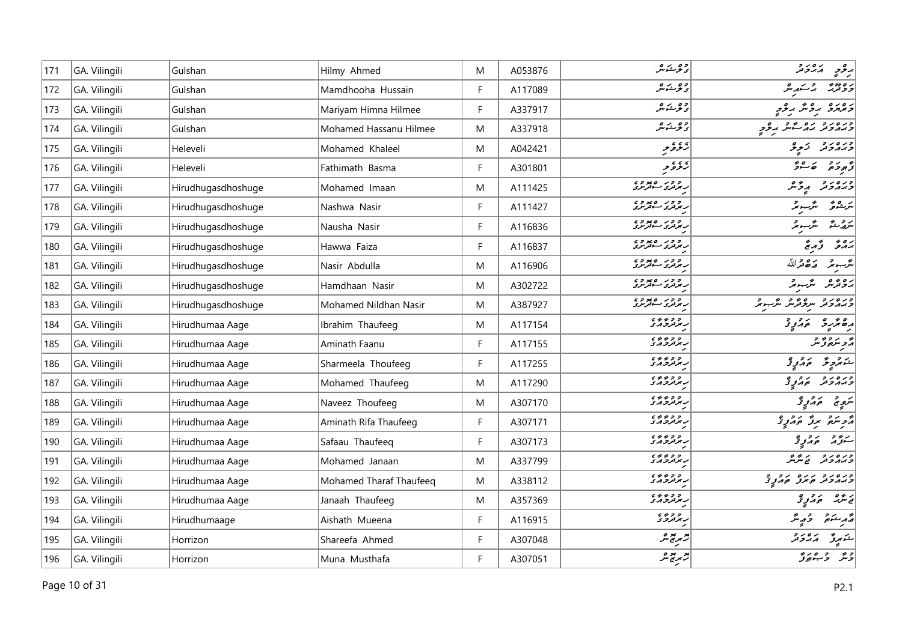| 171 | GA. Vilingili | Gulshan            | Hilmy Ahmed             | M           | A053876 | و و <u>ش</u> ش                          | بروج كمبردر                               |
|-----|---------------|--------------------|-------------------------|-------------|---------|-----------------------------------------|-------------------------------------------|
| 172 | GA. Vilingili | Gulshan            | Mamdhooha Hussain       | F           | A117089 | 3 مۇشەھر                                | رەددە جەمئىر                              |
| 173 | GA. Vilingili | Gulshan            | Mariyam Himna Hilmee    | F.          | A337917 | و و <u>شره</u>                          | دورو برؤنثر بروي                          |
| 174 | GA. Vilingili | Gulshan            | Mohamed Hassanu Hilmee  | M           | A337918 | <sup>و و</sup> شەھر                     | ورەرو رەپ ئەربۇر                          |
| 175 | GA. Vilingili | Heleveli           | Mohamed Khaleel         | M           | A042421 | روء پر                                  | ورەرو زېږو                                |
| 176 | GA. Vilingili | Heleveli           | Fathimath Basma         | F           | A301801 | ئەقرىخىيە                               | أَوْجِرْ حَمْدٍ صَلَّمَرٌ                 |
| 177 | GA. Vilingili | Hirudhugasdhoshuge | Mohamed Imaan           | M           | A111425 |                                         | ورەرو پەۋىر                               |
| 178 | GA. Vilingili | Hirudhugasdhoshuge | Nashwa Nasir            | F           | A111427 |                                         | سَرْشُوشٌ سَرَّبِ رَ                      |
| 179 | GA. Vilingili | Hirudhugasdhoshuge | Nausha Nasir            | F.          | A116836 | و و ر مه و د .<br>ر بوتوی سوتوس         | سَمِيَرْ مَشْ سَرْجِعِرْ                  |
| 180 | GA. Vilingili | Hirudhugasdhoshuge | Hawwa Faiza             | $\mathsf F$ | A116837 | و و ر مه و د .<br>ر بوتوی سوتوس         | رەپ ۋىر                                   |
| 181 | GA. Vilingili | Hirudhugasdhoshuge | Nasir Abdulla           | M           | A116906 | و و د ر ه پر و ء<br>پر پولوی سوتوس      | مگرجو <i>ند من</i> صورالله                |
| 182 | GA. Vilingili | Hirudhugasdhoshuge | Hamdhaan Nasir          | M           | A302722 | و و د ۱۵ پو و د<br>ر بوتوی سوتوس        | رەۋە شەرىر                                |
| 183 | GA. Vilingili | Hirudhugasdhoshuge | Mohamed Nildhan Nasir   | M           | A387927 | ر و و ر ۱۵ پر و د<br>  ر پرتری سوتر دی  | ورەرو سوۋۇر ئۇسىر                         |
| 184 | GA. Vilingili | Hirudhumaa Aage    | Ibrahim Thaufeeq        | M           | A117154 | ار و و و و و و<br>مربر درد د د          | رەنگەر ئەرەپى<br>ئ                        |
| 185 | GA. Vilingili | Hirudhumaa Aage    | Aminath Faanu           | F           | A117155 | ر ۶۶۶۶ و.<br>بر برترو آر ی              | ۇ يېڭ ئوق بىر                             |
| 186 | GA. Vilingili | Hirudhumaa Aage    | Sharmeela Thoufeeg      | F           | A117255 | ر ۶۶۶۶ و.<br>بر برترو آر ی              |                                           |
| 187 | GA. Vilingili | Hirudhumaa Aage    | Mohamed Thaufeeg        | M           | A117290 | ر و و ه ه و<br>ر برترو پر ی             | כנסגב גבנס                                |
| 188 | GA. Vilingili | Hirudhumaa Aage    | Naveez Thoufeeg         | M           | A307170 | ر و و و و د<br>بر ترترو ار د            | سكوبخ أحرقر والمحمد والمحمد               |
| 189 | GA. Vilingili | Hirudhumaa Aage    | Aminath Rifa Thaufeeg   | F           | A307171 | ر ۶۶۶۶<br>ر برترو پر <sub>ک</sub>       | والمعلمة المتفرقة المتحمد والمحمد والمحمد |
| 190 | GA. Vilingili | Hirudhumaa Aage    | Safaau Thaufeeq         | F           | A307173 | ار و و دیو و ا                          | مؤثر مؤثر وهي                             |
| 191 | GA. Vilingili | Hirudhumaa Aage    | Mohamed Janaan          | M           | A337799 | ار د د د و و د و                        | ورەرو رەر                                 |
| 192 | GA. Vilingili | Hirudhumaa Aage    | Mohamed Tharaf Thaufeeq | M           | A338112 | ر و و و و د<br>ر برترو اړی              | ورەر د ررە روپر                           |
| 193 | GA. Vilingili | Hirudhumaa Aage    | Janaah Thaufeeg         | M           | A357369 | ر و و ه و ،<br>به بوترو پر <sub>ک</sub> | ۇ ئىگە ئۇرۇپۇ                             |
| 194 | GA. Vilingili | Hirudhumaage       | Aishath Mueena          | F           | A116915 | ر و و د  ء<br>ر بوترو <sub>ک</sub>      | أمار منسور وأمريش                         |
| 195 | GA. Vilingili | Horrizon           | Shareefa Ahmed          | F           | A307048 | لجسم يحرجر                              | شكيرو كالارد                              |
| 196 | GA. Vilingili | Horrizon           | Muna Musthafa           | $\mathsf F$ | A307051 | جرىبر چرمىر                             | ويژ وبيوژ                                 |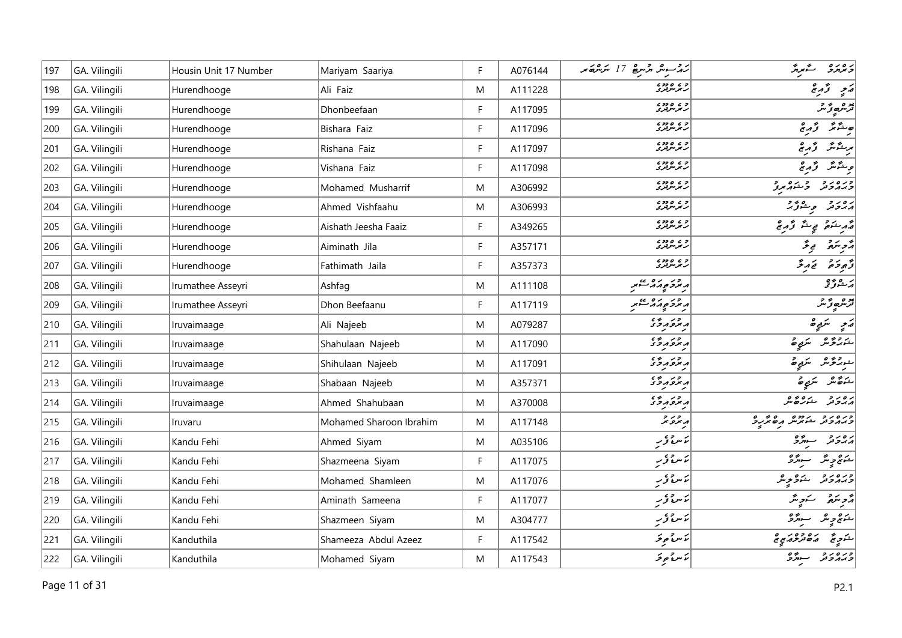| 197 | GA. Vilingili | Housin Unit 17 Number | Mariyam Saariya         | F           | A076144 | تدرجه المرسي 17 سكر محمد                    | ويوبره<br>سەمبەرىگە                                                                                 |
|-----|---------------|-----------------------|-------------------------|-------------|---------|---------------------------------------------|-----------------------------------------------------------------------------------------------------|
| 198 | GA. Vilingili | Hurendhooge           | Ali Faiz                | M           | A111228 | و ۽ وود ۽<br>مرس تري                        | ړې ژبرچ                                                                                             |
| 199 | GA. Vilingili | Hurendhooge           | Dhonbeefaan             | F           | A117095 | و ۽ وود ۽<br>مرموفري                        | بره پوځ تر<br>ترس پوځ تر                                                                            |
| 200 | GA. Vilingili | Hurendhooge           | Bishara Faiz            | F           | A117096 | و ۽ وود ۽<br>ريموبنري                       | $rac{1}{6}$                                                                                         |
| 201 | GA. Vilingili | Hurendhooge           | Rishana Faiz            | F           | A117097 | و ۽ ه دو ۽<br>رموس                          | برخشش ژری                                                                                           |
| 202 | GA. Vilingili | Hurendhooge           | Vishana Faiz            | F           | A117098 | و ۽ وود ۽<br>مرس پري                        | ويتمتر ترمع                                                                                         |
| 203 | GA. Vilingili | Hurendhooge           | Mohamed Musharrif       | M           | A306992 | و ۽ وود ۽<br>مرموفري                        | כנסגב בשיתות                                                                                        |
| 204 | GA. Vilingili | Hurendhooge           | Ahmed Vishfaahu         | M           | A306993 | و ۽ ه دو ۽<br>مرموبوري                      | رەرو پەشۇر                                                                                          |
| 205 | GA. Vilingili | Hurendhooge           | Aishath Jeesha Faaiz    | $\mathsf F$ | A349265 | و ۽ وود ۽<br>مرموفري                        | و المستحق في الله علم الله الله عليه الله عليه الله عليه الله عليه الله عليه الله عليه الله عليه ال |
| 206 | GA. Vilingili | Hurendhooge           | Aiminath Jila           | F           | A357171 | و ۽ وود ۽<br>ريموبنري                       | ړ د سره پرځه                                                                                        |
| 207 | GA. Vilingili | Hurendhooge           | Fathimath Jaila         | F           | A357373 | و ۽ وود ۽<br>ريموبنري                       | ۇ بوخ <sup>ە</sup><br>تع پر بخر                                                                     |
| 208 | GA. Vilingili | Irumathee Asseyri     | Ashfag                  | M           | A111108 | و برخې ده.<br>مرخ خو مرگه شو                | ىر شوتۇ تو                                                                                          |
| 209 | GA. Vilingili | Irumathee Asseyri     | Dhon Beefaanu           | F           | A117119 | ה <i>יקב</i> יף ה' ה' "<br>ה ייקביף ה' ה' " | بر <sub>ە شھو<sup>ت</sup>ە س</sub>                                                                  |
| 210 | GA. Vilingili | Iruvaimaage           | Ali Najeeb              | M           | A079287 | ە بىرغە بەرى<br>س                           | أرو سكورة                                                                                           |
| 211 | GA. Vilingili | Iruvaimaage           | Shahulaan Najeeb        | M           | A117090 | ە بىر ئەرگە ئ                               | شەردىش سىي ھ                                                                                        |
| 212 | GA. Vilingili | Iruvaimaage           | Shihulaan Najeeb        | M           | A117091 | ە بىر قەرىخ ي                               | شور محمد سكي قصيد                                                                                   |
| 213 | GA. Vilingili | Iruvaimaage           | Shabaan Najeeb          | M           | A357371 | ە بىر ئەرىخ<br>ب                            | شَوَّةٌ مَّرْ مَرْبِعٍ فَّا                                                                         |
| 214 | GA. Vilingili | Iruvaimaage           | Ahmed Shahubaan         | M           | A370008 | ە بىر ئەرگە ئ                               | رەرد دەپەر                                                                                          |
| 215 | GA. Vilingili | Iruvaru               | Mohamed Sharoon Ibrahim | M           | A117148 | وبره بر                                     | وره روبر دوه به ه ه ده و ده و د                                                                     |
| 216 | GA. Vilingili | Kandu Fehi            | Ahmed Siyam             | M           | A035106 | ئەسدىمىي                                    | גם גדל היותר.<br>גגבת היותר                                                                         |
| 217 | GA. Vilingili | Kandu Fehi            | Shazmeena Siyam         | $\mathsf F$ | A117075 | ئەس <sup>3</sup> ئۈر                        | شكوم ويتر المستروح                                                                                  |
| 218 | GA. Vilingili | Kandu Fehi            | Mohamed Shamleen        | M           | A117076 | ئەسدى كۈس                                   | ورەرو دەپرە                                                                                         |
| 219 | GA. Vilingili | Kandu Fehi            | Aminath Sameena         | F           | A117077 | ئەسەقمۇر                                    | أأرجع المستوبات                                                                                     |
| 220 | GA. Vilingili | Kandu Fehi            | Shazmeen Siyam          | M           | A304777 | ئەسە ئۇر                                    | شوچ چې مورکو                                                                                        |
| 221 | GA. Vilingili | Kanduthila            | Shameeza Abdul Azeez    | F           | A117542 | مَ سدْ موحَر                                | يستوجج<br>ره وه ر<br>پرې تر پرې                                                                     |
| 222 | GA. Vilingili | Kanduthila            | Mohamed Siyam           | M           | A117543 | ئەسۇمۇ                                      | כנים ניבים היותרים<br>הממידי היותרים                                                                |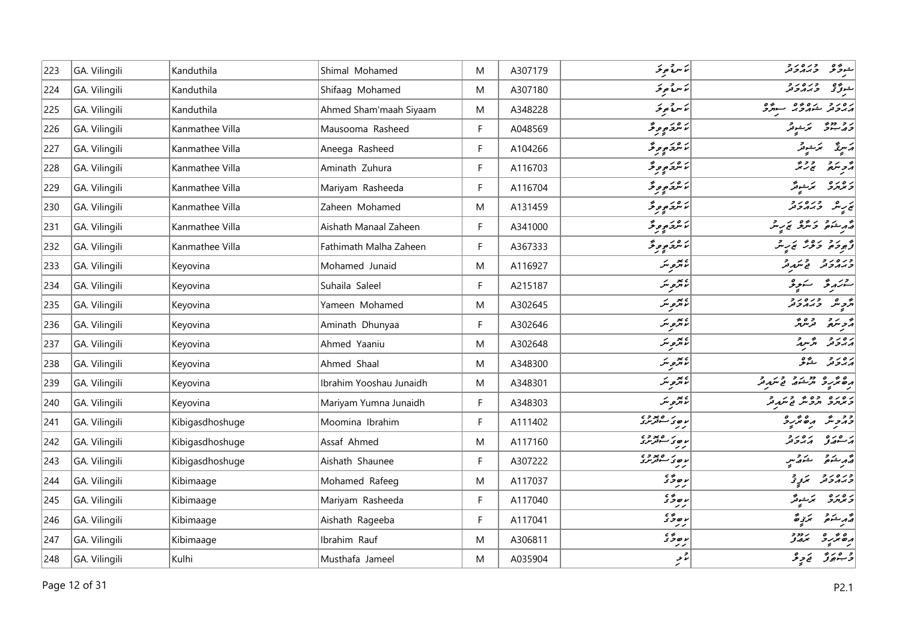| 223 | GA. Vilingili | Kanduthila      | Shimal Mohamed          | M  | A307179 | مَا سدنج محرِ حَر                  | $\begin{bmatrix} 2 & 0 & 2 \\ 2 & 0 & 2 \\ 0 & 0 & 0 \end{bmatrix}$ |
|-----|---------------|-----------------|-------------------------|----|---------|------------------------------------|---------------------------------------------------------------------|
| 224 | GA. Vilingili | Kanduthila      | Shifaag Mohamed         | M  | A307180 | لأسدنم موخه                        | د وه وره دو.<br>درگان د بر د تر                                     |
| 225 | GA. Vilingili | Kanduthila      | Ahmed Sham'maah Siyaam  | M  | A348228 | مَ سدْ موحَر                       |                                                                     |
| 226 | GA. Vilingili | Kanmathee Villa | Mausooma Rasheed        | F. | A048569 | ئەنگە ئەمۇمۇ                       | د د دو سر سورته<br>  د پر سورته سر سورته                            |
| 227 | GA. Vilingili | Kanmathee Villa | Aneega Rasheed          | F  | A104266 | ئەنگە ئەپرىتى                      | كاسيقى الكربشوقر                                                    |
| 228 | GA. Vilingili | Kanmathee Villa | Aminath Zuhura          | F  | A116703 | ئەنگە ئەھرىچە                      |                                                                     |
| 229 | GA. Vilingili | Kanmathee Villa | Mariyam Rasheeda        | F. | A116704 | ئەنگە ئەپرىتى                      | د وړو ترجيز                                                         |
| 230 | GA. Vilingili | Kanmathee Villa | Zaheen Mohamed          | M  | A131459 | ئەشرىئە ھەمەمىگە                   | ى بىر مەدرەرد                                                       |
| 231 | GA. Vilingili | Kanmathee Villa | Aishath Manaal Zaheen   | F  | A341000 | ئەنگە ئەھرىچە                      |                                                                     |
| 232 | GA. Vilingili | Kanmathee Villa | Fathimath Malha Zaheen  | F  | A367333 | ئەنگە ئەرگە                        | وتجوحه ووقت تمريثر                                                  |
| 233 | GA. Vilingili | Keyovina        | Mohamed Junaid          | M  | A116927 | لأقرحو يئر                         | ورەرو وترمر                                                         |
| 234 | GA. Vilingili | Keyovina        | Suhaila Saleel          | F  | A215187 | ، بیر<br>ماهرمویتر                 | سەزىر ئەر ئىكىنى ئىل                                                |
| 235 | GA. Vilingili | Keyovina        | Yameen Mohamed          | M  | A302645 | ، بیر<br>ماهرموینگه                | أثرج مدرورة                                                         |
| 236 | GA. Vilingili | Keyovina        | Aminath Dhunyaa         | F  | A302646 | تأثره بئر                          | أأدح مكتمر المراهر                                                  |
| 237 | GA. Vilingili | Keyovina        | Ahmed Yaaniu            | M  | A302648 | ، پیر<br>مرتقر میک                 | גם ג' הרייטה                                                        |
| 238 | GA. Vilingili | Keyovina        | Ahmed Shaal             | M  | A348300 | میخرویئر                           | رەر ئەۋ                                                             |
| 239 | GA. Vilingili | Keyovina        | Ibrahim Yooshau Junaidh | M  | A348301 | لىم مركز                           | ת פיציב תיימי ביתגע                                                 |
| 240 | GA. Vilingili | Keyovina        | Mariyam Yumna Junaidh   | F  | A348303 | ءَ پڙءِ بئر                        | גם גם כם מזק באת ב                                                  |
| 241 | GA. Vilingili | Kibigasdhoshuge | Moomina Ibrahim         | F. | A111402 | <br>  ما جای سود مرمزی<br>  سر     | دړ <sub>و شر</sub> ه تر په                                          |
| 242 | GA. Vilingili | Kibigasdhoshuge | Assaf Ahmed             | M  | A117160 | <br>  ما جای سود مرکزی<br>  مرکز   | بر قاده بره د و                                                     |
| 243 | GA. Vilingili | Kibigasdhoshuge | Aishath Shaunee         | F  | A307222 | ا رہا ہے<br>اس سے قدیم پر وی<br>سر | ۇرمىققى ھەركىر                                                      |
| 244 | GA. Vilingili | Kibimaage       | Mohamed Rafeeq          | M  | A117037 | رە ئ<br>--                         | و ر ه ر د<br>تر پر تر تر<br>ىخرىي تى                                |
| 245 | GA. Vilingili | Kibimaage       | Mariyam Rasheeda        | F  | A117040 | 550y                               | ر ه ر ه<br><del>ر</del> بربرگر<br>ىمە <sup>ر</sup> شەقە             |
| 246 | GA. Vilingili | Kibimaage       | Aishath Rageeba         | F  | A117041 | 550y                               | أقرم شكوم المرتج فكا                                                |
| 247 | GA. Vilingili | Kibimaage       | Ibrahim Rauf            | M  | A306811 | 550y                               | ارەتمەر<br>ر دو و<br>بورگ                                           |
| 248 | GA. Vilingili | Kulhi           | Musthafa Jameel         | M  | A035904 | اچ<br>م                            | وصبوق فأوفح                                                         |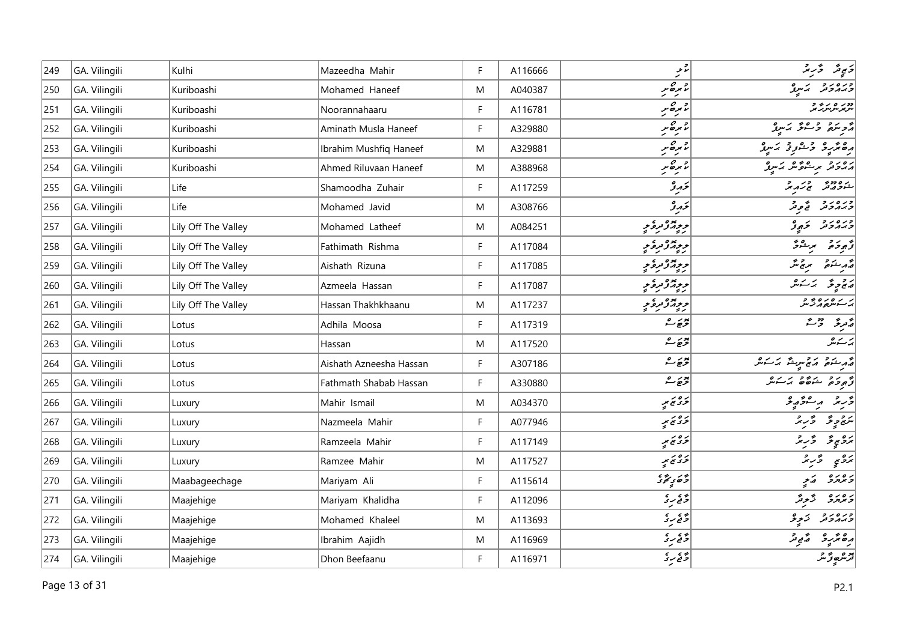| 249 | GA. Vilingili | Kulhi               | Mazeedha Mahir          | F         | A116666 | لتومو                                  | دَىپِ مَدْ _ دَرِ بَرْ _                    |
|-----|---------------|---------------------|-------------------------|-----------|---------|----------------------------------------|---------------------------------------------|
| 250 | GA. Vilingili | Kuriboashi          | Mohamed Haneef          | M         | A040387 | لأبرة مر                               | ورەرو ئەرو                                  |
| 251 | GA. Vilingili | Kuriboashi          | Noorannahaaru           | F         | A116781 | لأبرة بر                               | دد بر ه بر و د<br>سرپر سرسر <i>گ</i> ر      |
| 252 | GA. Vilingili | Kuriboashi          | Aminath Musla Haneef    | F         | A329880 | لأمورهم                                | د و سره د و ۵۰۰ د سرو                       |
| 253 | GA. Vilingili | Kuriboashi          | Ibrahim Mushfiq Haneef  | M         | A329881 | لأبرة مر                               | ړە ئرىرو دىشرو تاسر                         |
| 254 | GA. Vilingili | Kuriboashi          | Ahmed Riluvaan Haneef   | M         | A388968 | لأبرجير                                | رەرد پرىشۇش ئەيرۇ                           |
| 255 | GA. Vilingili | Life                | Shamoodha Zuhair        | F         | A117259 | ځه یژ                                  | شوه وه و در د                               |
| 256 | GA. Vilingili | Life                | Mohamed Javid           | ${\sf M}$ | A308766 | خەرى                                   | ورەرو ئىموتر                                |
| 257 | GA. Vilingili | Lily Off The Valley | Mohamed Latheef         | ${\sf M}$ | A084251 | موم چرو مور <sup>ي</sup> مو            | ورەرو كەچ                                   |
| 258 | GA. Vilingili | Lily Off The Valley | Fathimath Rishma        | F         | A117084 | موموړ تو <sub>مور</sub> ي مو           | توجوختم بريشوشح                             |
| 259 | GA. Vilingili | Lily Off The Valley | Aishath Rizuna          | F         | A117085 | موموهر و موځ مو                        | ۇرمۇق بوقىد                                 |
| 260 | GA. Vilingili | Lily Off The Valley | Azmeela Hassan          | F         | A117087 | موم <sup>يو و</sup> ورځ مو             | پر ج ج حي سر بر سکر مر                      |
| 261 | GA. Vilingili | Lily Off The Valley | Hassan Thakhkhaanu      | M         | A117237 | د پرچمون کره د                         | ئەسەم ئەھمەر ئەس                            |
| 262 | GA. Vilingili | Lotus               | Adhila Moosa            | F         | A117319 | پر رہ<br>خرچ <sub>س</sub> ے            | درمیه<br>ەر ئۆرىتى                          |
| 263 | GA. Vilingili | Lotus               | Hassan                  | ${\sf M}$ | A117520 | پر رہ<br>خرچ ک                         | برسەپىر                                     |
| 264 | GA. Vilingili | Lotus               | Aishath Azneesha Hassan | F         | A307186 | تتركات مستكمر                          | ړٌ ۾ ڪري ۾ پي سرڪ پر ڪيل ک                  |
| 265 | GA. Vilingili | Lotus               | Fathmath Shabab Hassan  | F         | A330880 | پر رہ<br>خر <u>ی</u> ج ک               | و د د د دود برگرامل                         |
| 266 | GA. Vilingili | Luxury              | Mahir Ismail            | M         | A034370 | تره تر مر<br>مور مئ مر                 | ۇرىز بەسىۋەپچ                               |
| 267 | GA. Vilingili | Luxury              | Nazmeela Mahir          | F         | A077946 | پره پر<br>  پرې نمې                    | ۇرىز<br>ىئرىنى بەرتىر                       |
| 268 | GA. Vilingili | Luxury              | Ramzeela Mahir          | F         | A117149 | تره نم سپر                             | ې په مړينې<br>مړينې<br>ىر ۋې <sub>م</sub> ۇ |
| 269 | GA. Vilingili | Luxury              | Ramzee Mahir            | ${\sf M}$ | A117527 | ره ر<br>مرد نئ مړ                      | د سرچ<br>ر<br>بروسي                         |
| 270 | GA. Vilingili | Maabageechage       | Mariyam Ali             | F         | A115614 | پ <sup>ر</sup><br>ژه <sub>په</sub> گړې | ويوبره<br>ەكىپىيە                           |
| 271 | GA. Vilingili | Maajehige           | Mariyam Khalidha        | F         | A112096 | ه و د د کار<br>مرگ مرک                 | ر ه ر ه<br><del>د</del> بربرگ<br>رٌ وترٌ    |
| 272 | GA. Vilingili | Maajehige           | Mohamed Khaleel         | ${\sf M}$ | A113693 | ی ء<br>ترقع سر تر                      | ورەرو زېږو                                  |
| 273 | GA. Vilingili | Maajehige           | Ibrahim Aajidh          | M         | A116969 | ءِ ۽ مريح<br>ح                         | ە ھەترىر <sup>ە</sup><br>د گھيے فر          |
| 274 | GA. Vilingili | Maajehige           | Dhon Beefaanu           | F         | A116971 | ی ي ري<br>تر تع <sub>مر</sub> تر       | بر م <sub>ەھب</sub> و تەر                   |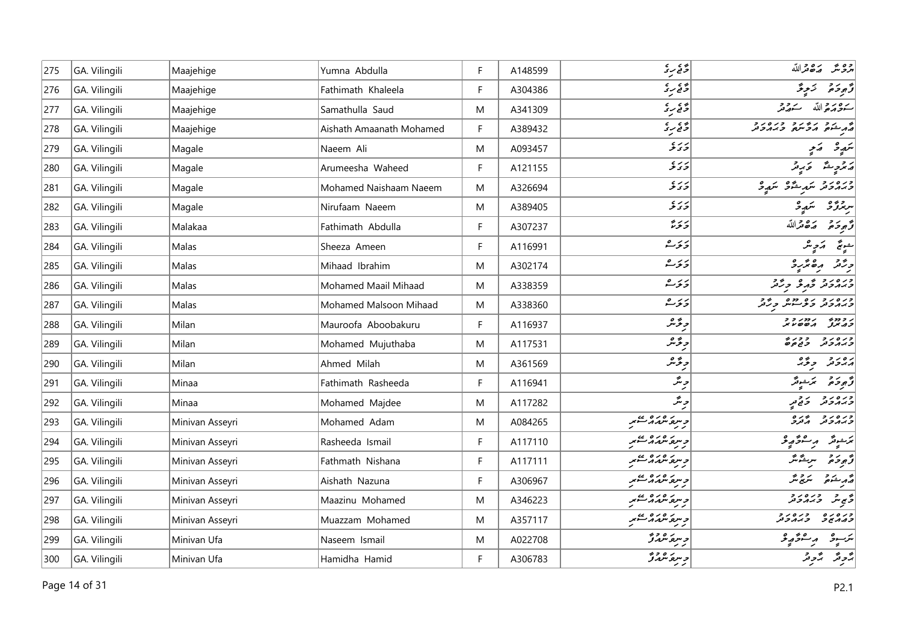| 275 | GA. Vilingili | Maajehige       | Yumna Abdulla            | F. | A148599 | ېږي <sub>د پ</sub> ه<br>د ه              | مرح مثر مكافحة الله                                      |
|-----|---------------|-----------------|--------------------------|----|---------|------------------------------------------|----------------------------------------------------------|
| 276 | GA. Vilingili | Maajehige       | Fathimath Khaleela       | F  | A304386 | ی ء<br>ترقع سر تر                        | أؤوخاه المتجاثر                                          |
| 277 | GA. Vilingili | Maajehige       | Samathulla Saud          | M  | A341309 | ېږي <sub>د پ</sub> ه<br>د تنص            | يحويرة الله سعديمر                                       |
| 278 | GA. Vilingili | Maajehige       | Aishath Amaanath Mohamed | F. | A389432 | ء ۽ مري<br>ح                             | ه در در در در در در در در د                              |
| 279 | GA. Vilingili | Magale          | Naeem Ali                | Μ  | A093457 | ۇرى                                      |                                                          |
| 280 | GA. Vilingili | Magale          | Arumeesha Waheed         | F  | A121155 | ر ر ء<br>5 د تو                          | شهره الماسی<br>استهره الماسی<br>الماسی الماسی الماسی     |
| 281 | GA. Vilingili | Magale          | Mohamed Naishaam Naeem   | M  | A326694 | ىر ر <sub>ى</sub><br>جى ئى               | כנסגב הגלים המכ                                          |
| 282 | GA. Vilingili | Magale          | Nirufaam Naeem           | Μ  | A389405 | ۇرى                                      | سر دوه شهره                                              |
| 283 | GA. Vilingili | Malakaa         | Fathimath Abdulla        | F. | A307237 | رىر                                      | و دو ده دالله                                            |
| 284 | GA. Vilingili | Malas           | Sheeza Ameen             | F  | A116991 | ىز ئە                                    | شویج – کمرچ مگر                                          |
| 285 | GA. Vilingili | Malas           | Mihaad Ibrahim           | M  | A302174 | ى ئەر ھ                                  | در شده موسیقی د                                          |
| 286 | GA. Vilingili | Malas           | Mohamed Maail Mihaad     | Μ  | A338359 | ىز ئە                                    | ورەرو ۋېرو دېم                                           |
| 287 | GA. Vilingili | Malas           | Mohamed Malsoon Mihaad   | M  | A338360 | ىز ئە                                    | ورەر د رەپتە دېر                                         |
| 288 | GA. Vilingili | Milan           | Mauroofa Aboobakuru      | F  | A116937 | جرځېگر                                   | נ כמינ נמני כל<br>המינג נשים מינג                        |
| 289 | GA. Vilingili | Milan           | Mohamed Mujuthaba        | M  | A117531 | جرځېگر                                   | و و ر پر<br>تر فع ځو ځه<br>و ره ر و<br><i>د بر</i> پر تر |
| 290 | GA. Vilingili | Milan           | Ahmed Milah              | Μ  | A361569 | حرقرىگر                                  | دور د وی                                                 |
| 291 | GA. Vilingili | Minaa           | Fathimath Rasheeda       | F  | A116941 | حریثر                                    | أراموخاط التماشوش                                        |
| 292 | GA. Vilingili | Minaa           | Mohamed Majdee           | M  | A117282 | حريثر                                    | ورەرو روپر<br>وبەدونر وق                                 |
| 293 | GA. Vilingili | Minivan Asseyri | Mohamed Adam             | M  | A084265 | حەسى ھەرەر مەسىر<br>مەسىر ھەرەر مىسىر    | כנסנכ שנס<br>כ <i>ה</i> תכנ <sub>י</sub> תנקב            |
| 294 | GA. Vilingili | Minivan Asseyri | Rasheeda Ismail          | F  | A117110 | د سره مره شو.<br>د سره سرور شو.          | ىر شونر بەر شۇر بولۇ<br>ئىستانلىق بىر شۇر بولۇ           |
| 295 | GA. Vilingili | Minivan Asseyri | Fathmath Nishana         | F  | A117111 | حەسىھ شمەر قىلىمى<br>مەسىھ شمەر قىسىمىيە | ۇۋەق سىشىر                                               |
| 296 | GA. Vilingili | Minivan Asseyri | Aishath Nazuna           | F  | A306967 | وسرە سىدە سىمىر                          | ۇرمۇق ئىچىگە                                             |
| 297 | GA. Vilingili | Minivan Asseyri | Maazinu Mohamed          | M  | A346223 | حەسرى مىدە مەسىر<br>مەسرى مىرىم كەنتىسى  | وحي شرح المرادر و                                        |
| 298 | GA. Vilingili | Minivan Asseyri | Muazzam Mohamed          | M  | A357117 | حەسرى مەركەت<br>مەركە مەركەت مەركەت      | 3 ב מ מ מ<br>ה מ מ מ ש ג<br>و ره ر د<br>تر پر ژنر        |
| 299 | GA. Vilingili | Minivan Ufa     | Naseem Ismail            | M  | A022708 | ج سرءَ سُرمڙ                             | ىئەسەۋ<br>برڪوڻپو                                        |
| 300 | GA. Vilingili | Minivan Ufa     | Hamidha Hamid            | F  | A306783 | ار سرهٔ مثله ژ                           | يُرْدِقُ يُرْدِقُرُ                                      |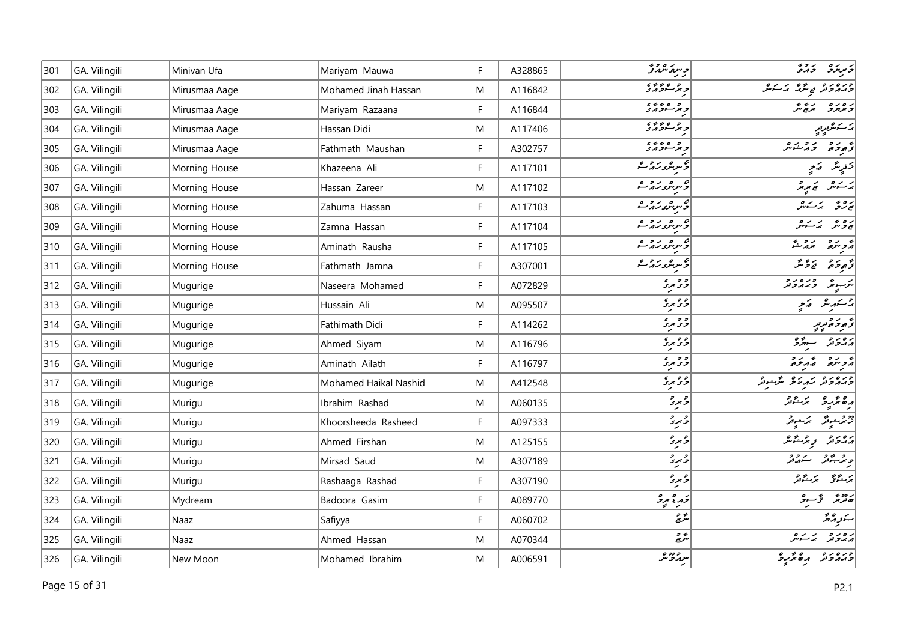| 301 | GA. Vilingili | Minivan Ufa          | Mariyam Mauwa         | F  | A328865 | د سوَ شدرٌ<br> -               | $rac{1}{2}$                                    |
|-----|---------------|----------------------|-----------------------|----|---------|--------------------------------|------------------------------------------------|
| 302 | GA. Vilingili | Mirusmaa Aage        | Mohamed Jinah Hassan  | M  | A116842 | د بر ۱۶۵۵<br>د بر سرد بر د     | ورەرو يەش ئەسەر                                |
| 303 | GA. Vilingili | Mirusmaa Aage        | Mariyam Razaana       | F. | A116844 | ادبر عدده                      | رەرە يەش                                       |
| 304 | GA. Vilingili | Mirusmaa Aage        | Hassan Didi           | M  | A117406 | د ده ۶۸ و.<br>د بر سود د د     | ئەسكەنلەردىر<br> - ئەسكەنلىق                   |
| 305 | GA. Vilingili | Mirusmaa Aage        | Fathmath Maushan      | F  | A302757 | أوبر وودو                      |                                                |
| 306 | GA. Vilingili | Morning House        | Khazeena Ali          | F  | A117101 | ە بىر بىرى <i>كە</i> ر م       | ر <i>کن<sub>و</sub>بنگ مکمی</i>                |
| 307 | GA. Vilingili | <b>Morning House</b> | Hassan Zareer         | M  | A117102 | ئۇ بىر بىرى <i>مەنى</i> شە<br> | رىسى ئىمى <i>رىگى</i>                          |
| 308 | GA. Vilingili | Morning House        | Zahuma Hassan         | F  | A117103 | ە بىر بىرى ئەر <sup>م</sup> ك  | ى ئەڭ بەسكىلى                                  |
| 309 | GA. Vilingili | <b>Morning House</b> | Zamna Hassan          | F  | A117104 | ە بىر بىرى ئەر <sup>م</sup> ك  | ىئ ھەش بەسكەنلەر                               |
| 310 | GA. Vilingili | <b>Morning House</b> | Aminath Rausha        | F. | A117105 | ە بىر ش <sub>ە</sub> ر ئەرقىسە | ג ב יישה יודע בי                               |
| 311 | GA. Vilingili | Morning House        | Fathmath Jamna        | F  | A307001 | ۇ بىر بىرى <i>كەڭ</i>          | ۇ <sub>بو</sub> رۇ يۈش                         |
| 312 | GA. Vilingili | Mugurige             | Naseera Mohamed       | F  | A072829 | و و<br>تر <sub>کم</sub> مرد    | و ره ر و<br><i>د ب</i> رگرفر<br>ىئرىبەيتر      |
| 313 | GA. Vilingili | Mugurige             | Hussain Ali           | M  | A095507 | و و ر ،<br>تر د مرد            | بر سکه شهر اندانی                              |
| 314 | GA. Vilingili | Mugurige             | Fathimath Didi        | F  | A114262 | و و<br>تر ی مورگ               | ا توجو <i>چ</i> ور پر                          |
| 315 | GA. Vilingili | Mugurige             | Ahmed Siyam           | M  | A116796 | و و<br>تر ی مورگ               |                                                |
| 316 | GA. Vilingili | Mugurige             | Aminath Ailath        | F. | A116797 | و و<br>تر ی مورگ               | أأدبتهم الأمرقو                                |
| 317 | GA. Vilingili | Mugurige             | Mohamed Haikal Nashid | M  | A412548 | و و<br>تر ی مور                | ورەرو رېرىكى ئىشوت                             |
| 318 | GA. Vilingili | Murigu               | Ibrahim Rashad        | M  | A060135 | و<br>ومرد                      | رە ئرىرو برىشى                                 |
| 319 | GA. Vilingili | Murigu               | Khoorsheeda Rasheed   | F  | A097333 | و برد<br>ار برد                | دور<br>زیر شونر کرشونر                         |
| 320 | GA. Vilingili | Murigu               | Ahmed Firshan         | M  | A125155 | و برد<br>و برد                 | رەرە پەشكەر                                    |
| 321 | GA. Vilingili | Murigu               | Mirsad Saud           | M  | A307189 | و برد<br>و برد                 | و بر به در و د                                 |
| 322 | GA. Vilingili | Muriqu               | Rashaaga Rashad       | F  | A307190 | و برد<br>و برد                 | يَرَجَّنَّى = يَرَجَّمَرُ                      |
| 323 | GA. Vilingili | Mydream              | Badoora Gasim         | F  | A089770 | دَر ۽ برد<br>پ                 | ر دوره<br>ت <i>ح</i> قریمی تخ <sup>ط</sup> ر و |
| 324 | GA. Vilingili | Naaz                 | Safiyya               | F  | A060702 | سرح                            | يئوره پژ                                       |
| 325 | GA. Vilingili | Naaz                 | Ahmed Hassan          | M  | A070344 | سرَّج                          | رەرد ئەسكىر                                    |
| 326 | GA. Vilingili | New Moon             | Mohamed Ibrahim       | M  | A006591 | سردود ه                        |                                                |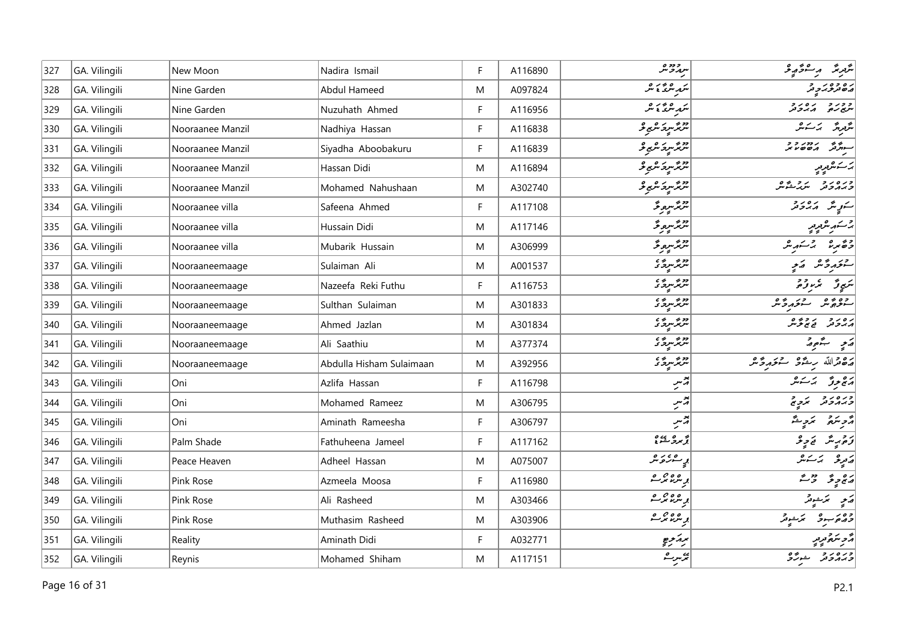| 327 | GA. Vilingili | New Moon         | Nadira Ismail            | F  | A116890 | سردوم                               | أشعبه مستفقية                             |
|-----|---------------|------------------|--------------------------|----|---------|-------------------------------------|-------------------------------------------|
| 328 | GA. Vilingili | Nine Garden      | <b>Abdul Hameed</b>      | M  | A097824 | ىئەر شۇ ئەش                         | ر ه د ه ر په د                            |
| 329 | GA. Vilingili | Nine Garden      | Nuzuhath Ahmed           | F  | A116956 | اير موسيقى<br>اسمبرسىي              | 2012 - 2012<br>سرچ ر <sub>يم</sub> كرير 3 |
| 330 | GA. Vilingili | Nooraanee Manzil | Nadhiya Hassan           | F. | A116838 | ترىڭرىرى ئىر ئى                     | لترترنز الاسكاند                          |
| 331 | GA. Vilingili | Nooraanee Manzil | Siyadha Aboobakuru       | F  | A116839 | ترى <i>ز <sub>مېرى</sub> ئىرى ۋ</i> | 77/77/7<br>سەدگە                          |
| 332 | GA. Vilingili | Nooraanee Manzil | Hassan Didi              | M  | A116894 | ەدى <sub>رى</sub> رىگىرىگى ئى       | ئەسەئىر بىر<br>ئ                          |
| 333 | GA. Vilingili | Nooraanee Manzil | Mohamed Nahushaan        | M  | A302740 | ترى <i>ز <sub>مېرى</sub> ئىرى ۋ</i> | ورەرو ئەرقىشە                             |
| 334 | GA. Vilingili | Nooraanee villa  | Safeena Ahmed            | F  | A117108 | يزىر<br>سرىر سرە بە                 | سَورٍ شَرَ دَبَر دَ د                     |
| 335 | GA. Vilingili | Nooraanee villa  | Hussain Didi             | M  | A117146 | يزېژ <sub>مبرعر</sub> موٌ           | ج <sub>ە</sub> سە <sub>م</sub> ە ئىزموس   |
| 336 | GA. Vilingili | Nooraanee villa  | Mubarik Hussain          | M  | A306999 | تربر يبرعه قر                       | وقابره برسكه شر                           |
| 337 | GA. Vilingili | Nooraaneemaage   | Sulaiman Ali             | M  | A001537 | دورو په ده په<br>مرتگر پرچري        | شۇمەۋش كەيپ                               |
| 338 | GA. Vilingili | Nooraaneemaage   | Nazeefa Reki Futhu       | F. | A116753 | دوم سرور<br>سرپر سرور               | ىئىي ئ <sup>ۇ</sup> بۇرىۋە                |
| 339 | GA. Vilingili | Nooraaneemaage   | Sulthan Sulaiman         | M  | A301833 | دو پر پرو <sup>ي</sup>              | رەم ئۇيۇلىر                               |
| 340 | GA. Vilingili | Nooraaneemaage   | Ahmed Jazlan             | M  | A301834 | دو پر پره<br>سرپر سرچري             | رەرد روپى                                 |
| 341 | GA. Vilingili | Nooraaneemaage   | Ali Saathiu              | M  | A377374 | دور په ده کا                        | أوزمته ويتميزونه                          |
| 342 | GA. Vilingili | Nooraaneemaage   | Abdulla Hisham Sulaimaan | M  | A392956 | دو په وي<br>سرچرسرچري               | رە قراللە بەشقى مىخەرقىد                  |
| 343 | GA. Vilingili | Oni              | Azlifa Hassan            | F. | A116798 | وحسر                                | ړیږي پرېش                                 |
| 344 | GA. Vilingili | Oni              | Mohamed Rameez           | M  | A306795 | بر<br>مرسر                          | כנסנב הבי                                 |
| 345 | GA. Vilingili | Oni              | Aminath Rameesha         | F. | A306797 | پر<br>مرسر                          | كروبتم تكوية                              |
| 346 | GA. Vilingili | Palm Shade       | Fathuheena Jameel        | F  | A117162 | ېژېر د شوې                          | ۇۋېرىگە كۆچۈك                             |
| 347 | GA. Vilingili | Peace Heaven     | Adheel Hassan            | M  | A075007 | اب <sub>و</sub> ھے ئەھەر            | ړېږو پرسټر                                |
| 348 | GA. Vilingili | Pink Rose        | Azmeela Moosa            | F  | A116980 | ارپوچوت                             | ړه په ده ده شک                            |
| 349 | GA. Vilingili | Pink Rose        | Ali Rasheed              | M  | A303466 | ېږ مربرغ ک                          | أركمني المخرجور                           |
| 350 | GA. Vilingili | Pink Rose        | Muthasim Rasheed         | M  | A303906 | اړ ه پرچم                           | $5 - 500$<br>بمرشدقر                      |
| 351 | GA. Vilingili | Reality          | Aminath Didi             | F. | A032771 | بردكريح                             | ر<br>د گر سکونورمبر                       |
| 352 | GA. Vilingili | Reynis           | Mohamed Shiham           | M  | A117151 | ى<br>ئىرسرى                         | و ر ه ر و<br>و بر د تر تر<br>ے رگز و      |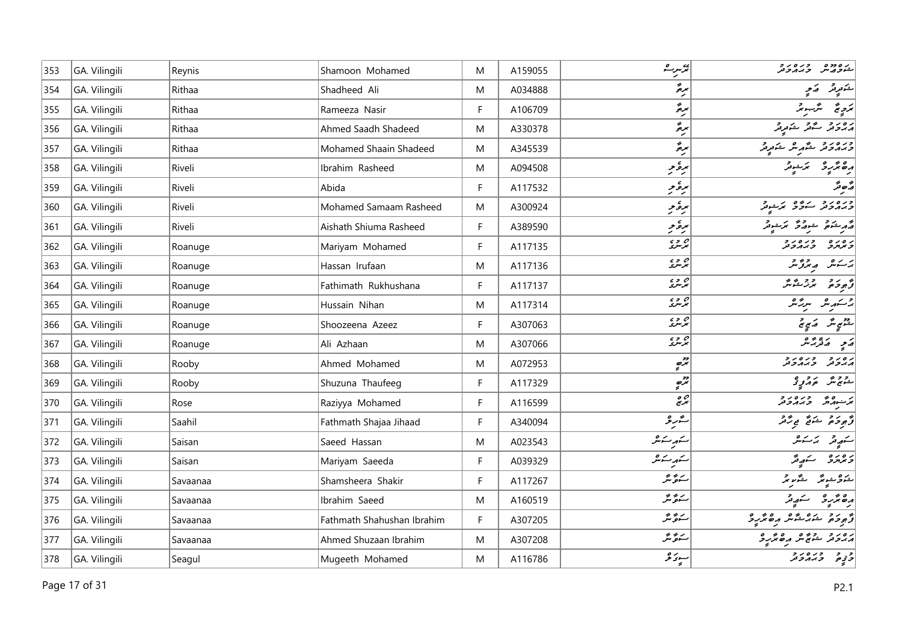| 353 | GA. Vilingili | Reynis   | Shamoon Mohamed            | M         | A159055 | ئۇسرىسى               | ر و دو در ور د<br>شوه سر و روبر                      |
|-----|---------------|----------|----------------------------|-----------|---------|-----------------------|------------------------------------------------------|
| 354 | GA. Vilingili | Rithaa   | Shadheed Ali               | M         | A034888 | مرځ                   | الشكور <i>ة الك</i> و                                |
| 355 | GA. Vilingili | Rithaa   | Rameeza Nasir              | F         | A106709 | بنوجح                 | تزويج الترسونر                                       |
| 356 | GA. Vilingili | Rithaa   | Ahmed Saadh Shadeed        | M         | A330378 | برځ                   | رەر دەر ئەقرىشەرد.<br>مەردىر سەمرىشى                 |
| 357 | GA. Vilingili | Rithaa   | Mohamed Shaain Shadeed     | M         | A345539 | سرچھ                  | ورەرو ئەرش ئەدرىر                                    |
| 358 | GA. Vilingili | Riveli   | Ibrahim Rasheed            | M         | A094508 | برۂع                  | رەترىرە تر <sub>ىشو</sub> تر                         |
| 359 | GA. Vilingili | Riveli   | Abida                      | F         | A117532 | برۂعر                 | ر<br>رُّەنُر                                         |
| 360 | GA. Vilingili | Riveli   | Mohamed Samaam Rasheed     | M         | A300924 | برة و                 | ورەر د بەرە بەيدى.<br><i>دىدە</i> دىر سەۋۈ بەيدىر    |
| 361 | GA. Vilingili | Riveli   | Aishath Shiuma Rasheed     | F         | A389590 | ىرەً م                | مەر شەرق شورق كەشونى                                 |
| 362 | GA. Vilingili | Roanuge  | Mariyam Mohamed            | F         | A117135 | ہ و ،<br>مرسمد        | נסנס כנסנכ<br>כ <i>אתכ כג</i> וכנ                    |
| 363 | GA. Vilingili | Roanuge  | Hassan Irufaan             | M         | A117136 | ە د ،<br>ئىرسرى       | برسەش مەيزۇنتر                                       |
| 364 | GA. Vilingili | Roanuge  | Fathimath Rukhushana       | F         | A117137 | ە د ،<br>ئىرسرى       | ۇ بەر ئەر ئەيدىكى                                    |
| 365 | GA. Vilingili | Roanuge  | Hussain Nihan              | M         | A117314 | ە د ،<br>ئىرسرى       | برسكريش البرشش                                       |
| 366 | GA. Vilingili | Roanuge  | Shoozeena Azeez            | F         | A307063 | ە د ،<br>ئىرسرى       | شمېر مېږ                                             |
| 367 | GA. Vilingili | Roanuge  | Ali Azhaan                 | ${\sf M}$ | A307066 | ە د ،<br>ئىرسرى       | أماس ماداني                                          |
| 368 | GA. Vilingili | Rooby    | Ahmed Mohamed              | ${\sf M}$ | A072953 | بترج                  | נפנד בנסנד<br>הגבת בגהבת                             |
| 369 | GA. Vilingili | Rooby    | Shuzuna Thaufeeg           | F         | A117329 | $e^{\frac{3}{2}}$     | ج ج عر ح ج م ح ج ح ح                                 |
| 370 | GA. Vilingili | Rose     | Raziyya Mohamed            | F         | A116599 | جرج                   | برسور ورورد                                          |
| 371 | GA. Vilingili | Saahil   | Fathmath Shajaa Jihaad     | F         | A340094 | سەر بۇ                | وٌوڌو ڪوَ وِرُتر                                     |
| 372 | GA. Vilingili | Saisan   | Saeed Hassan               | M         | A023543 | سەرسەنگە              | سكورة كالسكانكر                                      |
| 373 | GA. Vilingili | Saisan   | Mariyam Saeeda             | F         | A039329 | سەرسەنگە              | و دره در کردگر                                       |
| 374 | GA. Vilingili | Savaanaa | Shamsheera Shakir          | F         | A117267 | ىر بۇ بىر<br>سىرە بىر | لمكوكسوند المشربر                                    |
| 375 | GA. Vilingili | Savaanaa | Ibrahim Saeed              | ${\sf M}$ | A160519 | ىسۇ بىر               | رەندىر ئىرىد                                         |
| 376 | GA. Vilingili | Savaanaa | Fathmath Shahushan Ibrahim | F         | A307205 | سۇ ئىر                | و دو شروشه ره و در و                                 |
| 377 | GA. Vilingili | Savaanaa | Ahmed Shuzaan Ibrahim      | M         | A307208 | ىسە ئەشر              | , 2,000 בשם הסתיבים<br>גיבת ش <del>י</del> שית הסתיב |
| 378 | GA. Vilingili | Seagul   | Mugeeth Mohamed            | M         | A116786 | سەئەقر                | د د دره رد<br> وتي د در در                           |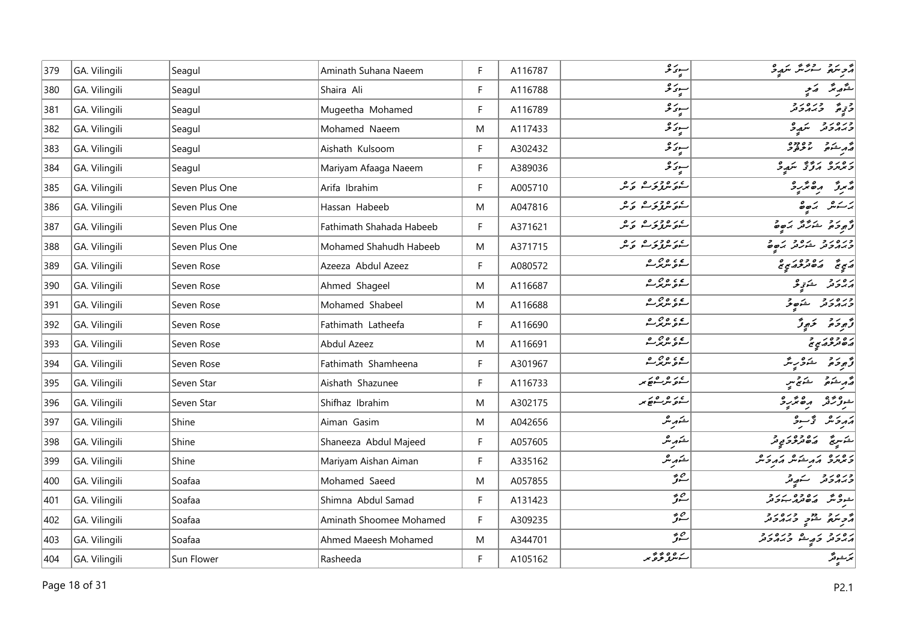| 379 | GA. Vilingili | Seagul         | Aminath Suhana Naeem     | F           | A116787 | سەئەقر                                | أأدجني المتفاعم المتمار                       |
|-----|---------------|----------------|--------------------------|-------------|---------|---------------------------------------|-----------------------------------------------|
| 380 | GA. Vilingili | Seagul         | Shaira Ali               | F           | A116788 | سەبى                                  | ڪمريٽر امکي                                   |
| 381 | GA. Vilingili | Seagul         | Mugeetha Mohamed         | F           | A116789 | سەئەقر                                | <del>د په دره د د</del>                       |
| 382 | GA. Vilingili | Seagul         | Mohamed Naeem            | M           | A117433 | سەبى                                  | ورەرو شەۋ                                     |
| 383 | GA. Vilingili | Seagul         | Aishath Kulsoom          | $\mathsf F$ | A302432 | سەئەقر                                | ه در ده ده ده<br><i>مگه شوی</i> لاخر <i>ی</i> |
| 384 | GA. Vilingili | Seagul         | Mariyam Afaaga Naeem     | F.          | A389036 | سەئەقر                                | أدەرە رۇپ شرە                                 |
| 385 | GA. Vilingili | Seven Plus One | Arifa Ibrahim            | F           | A005710 | <u>، دەدىرە بەھ</u>                   | أوسرقه وكالحريرة                              |
| 386 | GA. Vilingili | Seven Plus One | Hassan Habeeb            | M           | A047816 | ەر ەدىر ھ <sub>ە</sub> ر ھ            | $rac{1}{2}$                                   |
| 387 | GA. Vilingili | Seven Plus One | Fathimath Shahada Habeeb | F           | A371621 | ەر ەدىر ھ <sub>ە</sub> ر ھ            | توجوح خريم برج                                |
| 388 | GA. Vilingili | Seven Plus One | Mohamed Shahudh Habeeb   | M           | A371715 | <i>، د ووړ</i> عرمه ک                 | ورەرو شەرە دېرە                               |
| 389 | GA. Vilingili | Seven Rose     | Azeeza Abdul Azeez       | F.          | A080572 | <u>۽ ۽ وي و</u>                       | ديءَ ماه ده ده د                              |
| 390 | GA. Vilingili | Seven Rose     | Ahmed Shageel            | M           | A116687 | <u>ء ۽ وي و</u>                       | پره پر چه شوی پی                              |
| 391 | GA. Vilingili | Seven Rose     | Mohamed Shabeel          | M           | A116688 | <u>ع ء</u> مربر م                     | ورەرو شەھ ئى                                  |
| 392 | GA. Vilingili | Seven Rose     | Fathimath Latheefa       | $\mathsf F$ | A116690 | <u>ء ۽ ويري</u>                       | وَجوحَة وَجوِرَّ                              |
| 393 | GA. Vilingili | Seven Rose     | Abdul Azeez              | M           | A116691 | <u>۽ ۽ وي و</u>                       | ره وه د ر<br>مه تر ترور سي سي                 |
| 394 | GA. Vilingili | Seven Rose     | Fathimath Shamheena      | F           | A301967 | <u>ع ء</u> مربر م                     | ژ <sub>ە</sub> رە شەرىپ                       |
| 395 | GA. Vilingili | Seven Star     | Aishath Shazunee         | F           | A116733 | ے پر ہ <sub>ے س</sub> ے <sub>تع</sub> | ۇرمىشكە ھەتمى                                 |
| 396 | GA. Vilingili | Seven Star     | Shifhaz Ibrahim          | M           | A302175 | ے پر شریعے پر                         | ىدى <i>ر ۋرگى</i> تر<br>ەرھ ئۆر ۋ             |
| 397 | GA. Vilingili | Shine          | Aiman Gasim              | M           | A042656 | يئىم مىر                              | ىز بەر ئەشە<br>مەرىبە ئە<br>تۇسىۋ             |
| 398 | GA. Vilingili | Shine          | Shaneeza Abdul Majeed    | F           | A057605 | شەھەر سىر                             | ر ٥ و ٥ و ر<br>پرځ تر تر تر تر<br>شەَسِرىتَج  |
| 399 | GA. Vilingili | Shine          | Mariyam Aishan Aiman     | $\mathsf F$ | A335162 | ىشەرىش                                | כימתכ התשייל התכיל                            |
| 400 | GA. Vilingili | Soafaa         | Mohamed Saeed            | M           | A057855 | رحيو                                  | ورەرو سەر                                     |
| 401 | GA. Vilingili | Soafaa         | Shimna Abdul Samad       | $\mathsf F$ | A131423 | يەدىخ                                 | ده ور ده وه در در<br>شورگس میگان میکرد سورتر  |
| 402 | GA. Vilingili | Soafaa         | Aminath Shoomee Mohamed  | F           | A309235 | يەدىخ                                 | הכתב בת כמחכת                                 |
| 403 | GA. Vilingili | Soafaa         | Ahmed Maeesh Mohamed     | M           | A344701 | يەدىخ                                 | ג 2010 בן 2010 ביטר                           |
| 404 | GA. Vilingili | Sun Flower     | Rasheeda                 | F           | A105162 | ر ۵۵۵۵ په په                          | ىمەسىيەتىر                                    |
|     |               |                |                          |             |         |                                       |                                               |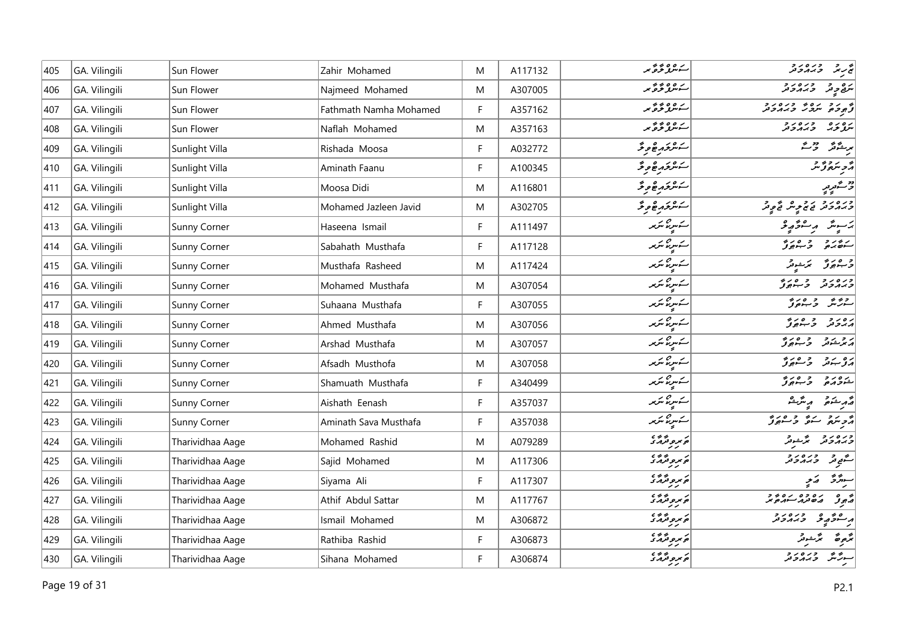| 405 | GA. Vilingili | Sun Flower          | Zahir Mohamed          | M         | A117132 | ر ۵۵۵۰ په په                      | المجرير وبرورو                           |
|-----|---------------|---------------------|------------------------|-----------|---------|-----------------------------------|------------------------------------------|
| 406 | GA. Vilingili | Sun Flower          | Najmeed Mohamed        | ${\sf M}$ | A307005 | ر ەە بەير<br>سەمبۇ بۇ <i>بى</i> ر | پرو <sub>چ پ</sub> ر دره د د             |
| 407 | GA. Vilingili | Sun Flower          | Fathmath Namha Mohamed | F         | A357162 | ىر ە ە بە بە<br>سەسرى ئىرقىر      | و د د ده د دره د                         |
| 408 | GA. Vilingili | Sun Flower          | Naflah Mohamed         | M         | A357163 | ىرە <i>دە بەي</i> ر               | و ره ر و<br><i>د ب</i> رگرفر<br>سرو بر و |
| 409 | GA. Vilingili | Sunlight Villa      | Rishada Moosa          | F         | A032772 | سەمىر <i>ۇر ھ<sub>ا</sub>م</i> ۇ  | ىرىشەگە كۆڭە                             |
| 410 | GA. Vilingili | Sunlight Villa      | Aminath Faanu          | F         | A100345 | ر<br>سەنگە ئەھرىقى بەر            | ە ئە ئىرە ئۇ ئىر                         |
| 411 | GA. Vilingili | Sunlight Villa      | Moosa Didi             | ${\sf M}$ | A116801 | سەمى <i>رى ھو</i> ئ <sup>ۇ</sup>  | دد گرورو<br>تر گورور                     |
| 412 | GA. Vilingili | Sunlight Villa      | Mohamed Jazleen Javid  | ${\sf M}$ | A302705 | سەھرىر ھ <sub>ى</sub> بۇ          | ورەرو روپر قانۇر قاي                     |
| 413 | GA. Vilingili | Sunny Corner        | Haseena Ismail         | F         | A111497 | سەسرىئا مىتزىيە                   | ىزىپەش مەھۋەپچ                           |
| 414 | GA. Vilingili | Sunny Corner        | Sabahath Musthafa      | F         | A117128 | ا سەمبەر<br>___________           | ر بر در<br>سەھ بر م<br>ح ب م پر پر       |
| 415 | GA. Vilingili | Sunny Corner        | Musthafa Rasheed       | M         | A117424 | سەسرىئا مىزىيە                    | و ورو کرېده.                             |
| 416 | GA. Vilingili | Sunny Corner        | Mohamed Musthafa       | M         | A307054 | سەسەر ئەكىرىد                     | چ پە ئەمۇ<br>و ر ه ر و<br>تر پر ژ تر     |
| 417 | GA. Vilingili | Sunny Corner        | Suhaana Musthafa       | F         | A307055 | سەسرىئا مىزىر                     | روم ورود                                 |
| 418 | GA. Vilingili | Sunny Corner        | Ahmed Musthafa         | M         | A307056 | ا سەمبەر تەتىر<br>——              | ره رو و ه ره<br>پرېژنو و سوچونې          |
| 419 | GA. Vilingili | Sunny Corner        | Arshad Musthafa        | M         | A307057 |                                   | ر و ر و و دره<br>پرستونر و جامونی        |
| 420 | GA. Vilingili | Sunny Corner        | Afsadh Musthofa        | M         | A307058 |                                   | ره رو و <i>مرد</i><br>پروټو و جوړ        |
| 421 | GA. Vilingili | Sunny Corner        | Shamuath Musthafa      | F         | A340499 | سەسەرىئا مىترىپر                  | شكارد و و ديد                            |
| 422 | GA. Vilingili | Sunny Corner        | Aishath Eenash         | F         | A357037 | ا سەمبەر<br>— ق                   | وكرمشكم ويترك                            |
| 423 | GA. Vilingili | <b>Sunny Corner</b> | Aminath Sava Musthafa  | F         | A357038 | سەسەرىكە مىزىر                    | أروسكم سكوا والمرو                       |
| 424 | GA. Vilingili | Tharividhaa Aage    | Mohamed Rashid         | M         | A079289 | اءَ بره ويه دي<br>ڪ               | ورەر دەر ئەسەر<br><i>دىد</i> ەر ئەسەم    |
| 425 | GA. Vilingili | Tharividhaa Aage    | Sajid Mohamed          | M         | A117306 | ر<br>حوسر و ترور د                | ستحي وره دو                              |
| 426 | GA. Vilingili | Tharividhaa Aage    | Siyama Ali             | F         | A117307 | ر<br>حوسر و ترور د                | سيرد كمير                                |
| 427 | GA. Vilingili | Tharividhaa Aage    | Athif Abdul Sattar     | M         | A117767 | اړمونه دي.<br>پ                   | ه و روده رود د                           |
| 428 | GA. Vilingili | Tharividhaa Aage    | Ismail Mohamed         | M         | A306872 | پروتروي<br>  پروتروي              |                                          |
| 429 | GA. Vilingili | Tharividhaa Aage    | Rathiba Rashid         | F         | A306873 | ر<br>حومرہ فرار د                 | بڑ <sub>ھو</sub> ة<br>یمرشہ تر<br>مرک    |
| 430 | GA. Vilingili | Tharividhaa Aage    | Sihana Mohamed         | F         | A306874 | ر<br>حومرہ ترمری                  | سەر درەرد                                |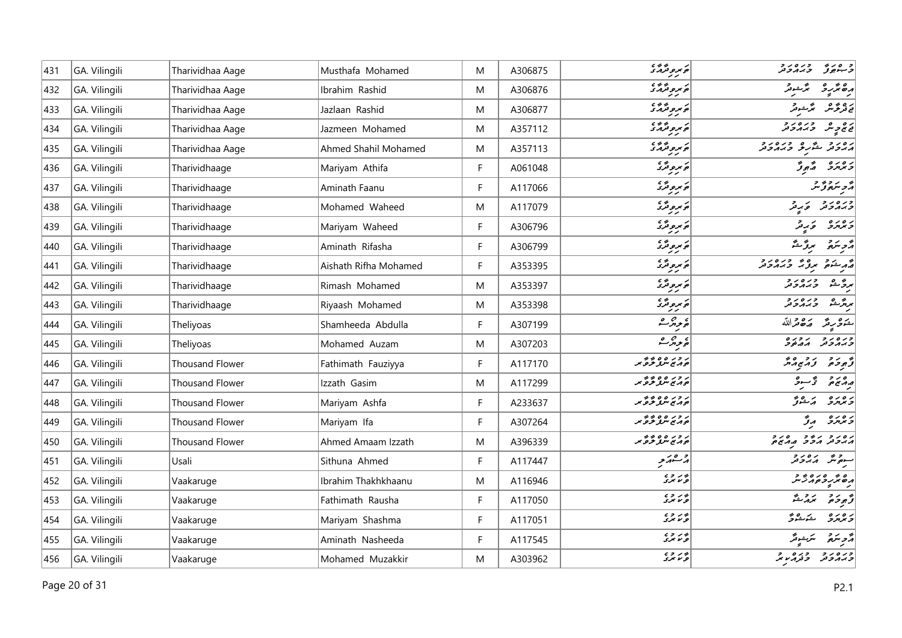| 431 | GA. Vilingili | Tharividhaa Aage       | Musthafa Mohamed      | M  | A306875 | ر<br>موسر و ترور د                | و رە ر د<br>تر پر پر تر<br>د مەردىپى<br>ج  |
|-----|---------------|------------------------|-----------------------|----|---------|-----------------------------------|--------------------------------------------|
| 432 | GA. Vilingili | Tharividhaa Aage       | Ibrahim Rashid        | M  | A306876 | ر<br>موسره ترد د                  | ېر ھې تر په د<br>یمرشہ <i>و</i>            |
| 433 | GA. Vilingili | Tharividhaa Aage       | Jazlaan Rashid        | M  | A306877 | ر<br>موسر و تروم                  | رە ۋە ئەسىر                                |
| 434 | GA. Vilingili | Tharividhaa Aage       | Jazmeen Mohamed       | M  | A357112 | ر<br>حو مرح فرار د                | و رە ر د<br>تر پروتر<br>تح تح حٍ سُرٌ      |
| 435 | GA. Vilingili | Tharividhaa Aage       | Ahmed Shahil Mohamed  | M  | A357113 | پروتروي<br>  پروتروي              | رەر د شرق درەر د                           |
| 436 | GA. Vilingili | Tharividhaage          | Mariyam Athifa        | F. | A061048 | ئەسرەپىرى<br>م                    | رەرە پەر                                   |
| 437 | GA. Vilingili | Tharividhaage          | Aminath Faanu         | F  | A117066 | ئە ئىرە قرى<br>م                  | ە ئەر سىھۇق شە                             |
| 438 | GA. Vilingili | Tharividhaage          | Mohamed Waheed        | M  | A117079 | ائر مره وير<br><u>ائترس وير</u> ي | ورەر دىر د                                 |
| 439 | GA. Vilingili | Tharividhaage          | Mariyam Waheed        | F  | A306796 |                                   | رەرە رېر                                   |
| 440 | GA. Vilingili | Tharividhaage          | Aminath Rifasha       | F  | A306799 | <br>  په مرحوفری<br>              | ۇ ئىرىشى ئىرگە ئىگە                        |
| 441 | GA. Vilingili | Tharividhaage          | Aishath Rifha Mohamed | F  | A353395 | اپر مرح قری<br><u>اسم م</u> رح    |                                            |
| 442 | GA. Vilingili | Tharividhaage          | Rimash Mohamed        | M  | A353397 | اء مره ويرد<br><u>اسم مر</u>      | بردگ وره در د                              |
| 443 | GA. Vilingili | Tharividhaage          | Riyaash Mohamed       | M  | A353398 | اء مره ويژه<br>————————           | ىر پۇرشە<br>و ره ر و<br><i>د ب</i> رگرفر   |
| 444 | GA. Vilingili | Theliyoas              | Shamheeda Abdulla     | F  | A307199 | ۽ موه <sup>و</sup> ے              | خورته كافترالله                            |
| 445 | GA. Vilingili | Theliyoas              | Mohamed Auzam         | M  | A307203 | م مرم م                           | כנסנכ נבנס                                 |
| 446 | GA. Vilingili | <b>Thousand Flower</b> | Fathimath Fauziyya    | F. | A117170 | ر در ۵۵ وی.<br>به دې سرو څوگه سر  | توجدخو ترميم                               |
| 447 | GA. Vilingili | <b>Thousand Flower</b> | Izzath Gasim          | M  | A117299 | ر در ۵۵ وی.<br>به دی سرتی شرکت    | ەر 2<br>مەمگەمى<br>تؤسده                   |
| 448 | GA. Vilingili | <b>Thousand Flower</b> | Mariyam Ashfa         | F. | A233637 | ر در ۵۵ وي.<br>بود بح سرتي څو پو  | ر ه ر ه<br><del>د</del> بربر د<br>ىرىشەرىج |
| 449 | GA. Vilingili | <b>Thousand Flower</b> | Mariyam Ifa           | F. | A307264 | ر ور ٥٥ دي.<br>بود بح مرثي څو پر  | و ده د و                                   |
| 450 | GA. Vilingili | Thousand Flower        | Ahmed Amaam Izzath    | M  | A396339 | ر در ۵۵ وی.<br>به دې سرنۍ د گر    |                                            |
| 451 | GA. Vilingili | Usali                  | Sithuna Ahmed         | F  | A117447 | رحيد                              | سومد رورد                                  |
| 452 | GA. Vilingili | Vaakaruge              | Ibrahim Thakhkhaanu   | M  | A116946 | پر د ،<br>حرم موړ                 | ە ئەسەرە بەر<br>بەھترىر <i>دى</i> رىشىر    |
| 453 | GA. Vilingili | Vaakaruge              | Fathimath Rausha      | F  | A117050 | ږ د د ،<br>و لا بو ،              | توجوخو بمديقة                              |
| 454 | GA. Vilingili | Vaakaruge              | Mariyam Shashma       | F  | A117051 | ږ د د ،<br>و لا بو ،              | رەرە ئەشەۋ                                 |
| 455 | GA. Vilingili | Vaakaruge              | Aminath Nasheeda      | F. | A117545 | بر ر و ،<br>حرم مرد               | أأدح مكرة المسكر مكرشوقد                   |
| 456 | GA. Vilingili | Vaakaruge              | Mohamed Muzakkir      | M  | A303962 | یز ر د ،<br>حرما مور              | כנסני כנפיל                                |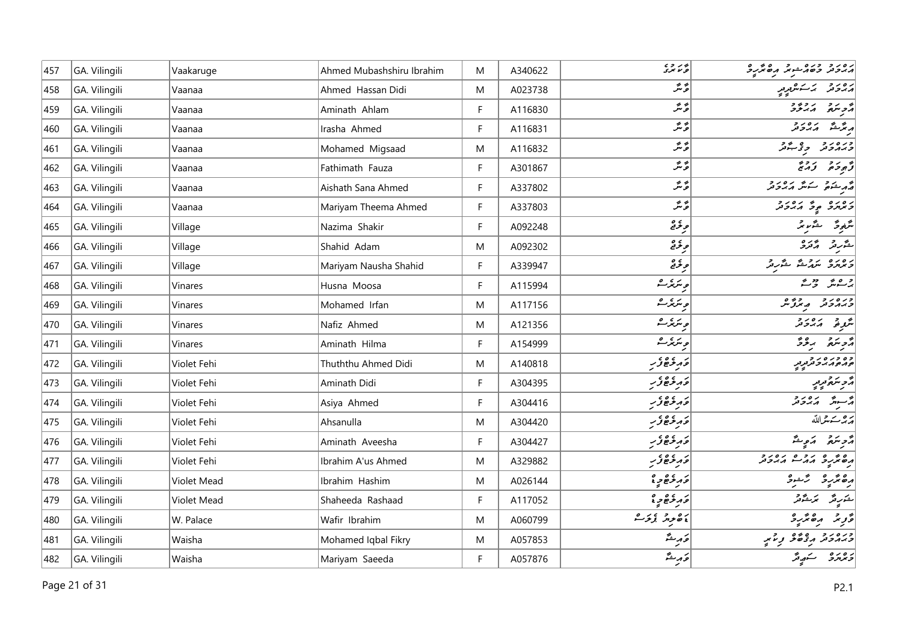| 457 | GA. Vilingili | Vaakaruge          | Ahmed Mubashshiru Ibrahim | M  | A340622 | په بر و ،<br>حرم مرد      | رەرد درەپ دەر                                                                                                                                                                                                                       |
|-----|---------------|--------------------|---------------------------|----|---------|---------------------------|-------------------------------------------------------------------------------------------------------------------------------------------------------------------------------------------------------------------------------------|
| 458 | GA. Vilingili | Vaanaa             | Ahmed Hassan Didi         | M  | A023738 | پوستر<br>حرمتر            | رەرو بەسەئىرىرىر                                                                                                                                                                                                                    |
| 459 | GA. Vilingili | Vaanaa             | Aminath Ahlam             | F  | A116830 | ۇ بىر                     | בכיתם הגבב                                                                                                                                                                                                                          |
| 460 | GA. Vilingili | Vaanaa             | Irasha Ahmed              | F  | A116831 | ځه مثر                    | أمريخ مقادرة                                                                                                                                                                                                                        |
| 461 | GA. Vilingili | Vaanaa             | Mohamed Migsaad           | M  | A116832 | ۇ ئىر                     | ورەرو دەپەر                                                                                                                                                                                                                         |
| 462 | GA. Vilingili | Vaanaa             | Fathimath Fauza           | F  | A301867 | ۇ ئىر                     | وتجاوح والمحمد                                                                                                                                                                                                                      |
| 463 | GA. Vilingili | Vaanaa             | Aishath Sana Ahmed        | F  | A337802 | پھ بیٹر<br>حرمئر          |                                                                                                                                                                                                                                     |
| 464 | GA. Vilingili | Vaanaa             | Mariyam Theema Ahmed      | F  | A337803 | پھ بیٹر<br>حرمئر          | נ סנס פי נסניק<br>המתכניקים המבת                                                                                                                                                                                                    |
| 465 | GA. Vilingili | Village            | Nazima Shakir             | F  | A092248 | حرقرهم                    | شَعْرِةً مُشْرِيرٌ                                                                                                                                                                                                                  |
| 466 | GA. Vilingili | Village            | Shahid Adam               | M  | A092302 | حرقرهم                    | ے کر پر گھری                                                                                                                                                                                                                        |
| 467 | GA. Vilingili | Village            | Mariyam Nausha Shahid     | F. | A339947 | حر تحريح                  | و ورو مروث څريز                                                                                                                                                                                                                     |
| 468 | GA. Vilingili | Vinares            | Husna Moosa               | F  | A115994 | المحب يخرعه               | جراعا معن وحرام مع                                                                                                                                                                                                                  |
| 469 | GA. Vilingili | Vinares            | Mohamed Irfan             | M  | A117156 | الريئد فيح                | ورەرو ھەرھ                                                                                                                                                                                                                          |
| 470 | GA. Vilingili | Vinares            | Nafiz Ahmed               | M  | A121356 | ە ئىر ئۈرگ                | شروة المكافرة                                                                                                                                                                                                                       |
| 471 | GA. Vilingili | Vinares            | Aminath Hilma             | F  | A154999 | ە ئىرىزىشە                | أأزجتم برقرقه                                                                                                                                                                                                                       |
| 472 | GA. Vilingili | Violet Fehi        | Thuththu Ahmed Didi       | M  | A140818 | ئەرىۋى ئۇ س               | و ه و ر ه ر و<br>ه ه ه ه بر ر ترترتر                                                                                                                                                                                                |
| 473 | GA. Vilingili | Violet Fehi        | Aminath Didi              | F. | A304395 | ە بەر ئۇغۇر               | و گر سرچ مرمر<br>م                                                                                                                                                                                                                  |
| 474 | GA. Vilingili | Violet Fehi        | Asiya Ahmed               | F. | A304416 | ە بەر ئۇغۇر               | و استر از در در د                                                                                                                                                                                                                   |
| 475 | GA. Vilingili | Violet Fehi        | Ahsanulla                 | M  | A304420 | ءَ مرځوءَ ئر              | مەرىبەتراللە                                                                                                                                                                                                                        |
| 476 | GA. Vilingili | Violet Fehi        | Aminath Aveesha           | F  | A304427 | ءَ مرځه عو سر             | كروبتم كالموث                                                                                                                                                                                                                       |
| 477 | GA. Vilingili | Violet Fehi        | Ibrahim A'us Ahmed        | M  | A329882 | ئەرىۋە ئەر                | ה מיני הגם גם גב                                                                                                                                                                                                                    |
| 478 | GA. Vilingili | Violet Mead        | Ibrahim Hashim            | M  | A026144 | ورځوموړ                   | رە ئەر ئە                                                                                                                                                                                                                           |
| 479 | GA. Vilingili | <b>Violet Mead</b> | Shaheeda Rashaad          | F  | A117052 | ورځوفه د پ                | المكون من المركز المركز المركز المركز المركز المركز المركز المركز المركز المركز المركز المركز المركز<br>المركز المركز المركز المركز المركز المركز المركز المركز المركز المركز المركز المركز المركز المركز المركز المرك<br>المركز ال |
| 480 | GA. Vilingili | W. Palace          | Wafir Ibrahim             | M  | A060799 | ، ھور برخر                | قربر مقترره                                                                                                                                                                                                                         |
| 481 | GA. Vilingili | Waisha             | Mohamed Iqbal Fikry       | M  | A057853 | ءَرِشَّ                   | ورەرد مەڭ بولىر                                                                                                                                                                                                                     |
| 482 | GA. Vilingili | Waisha             | Mariyam Saeeda            | F  | A057876 | <sub>تح</sub> مر ینځه<br> | أوجهرو سكهقر                                                                                                                                                                                                                        |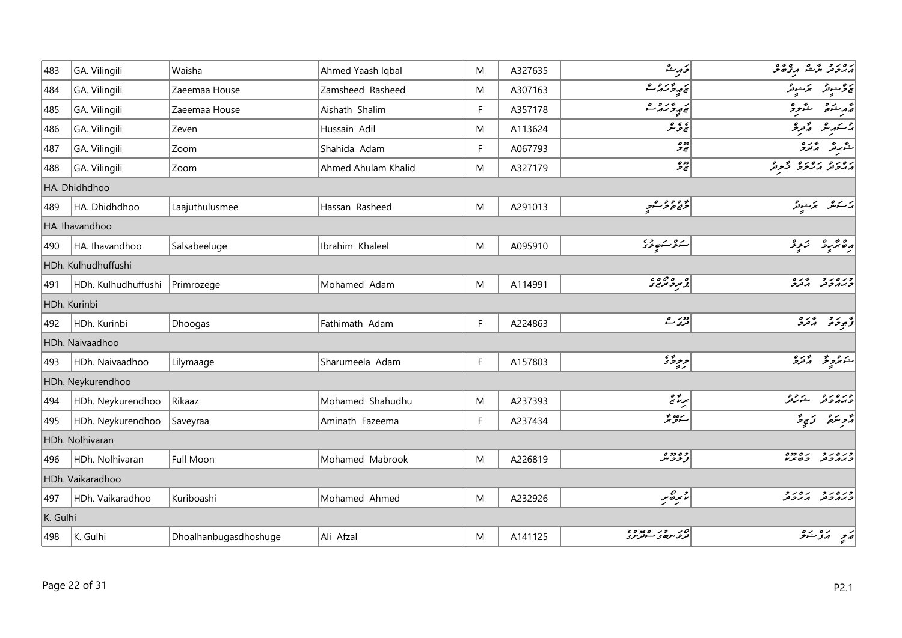| 483      | GA. Vilingili       | Waisha                | Ahmed Yaash Iqbal   | M         | A327635 | ى پر شە                                    | رەرد پرىش مەھى                                                                                                                                                                                                                      |
|----------|---------------------|-----------------------|---------------------|-----------|---------|--------------------------------------------|-------------------------------------------------------------------------------------------------------------------------------------------------------------------------------------------------------------------------------------|
| 484      | GA. Vilingili       | Zaeemaa House         | Zamsheed Rasheed    | M         | A307163 | ىر پەرىر 2                                 | رە ئىرىش كەن ئىرىدىگر<br>ئ                                                                                                                                                                                                          |
| 485      | GA. Vilingili       | Zaeemaa House         | Aishath Shalim      | F         | A357178 | ئەر ئەر ئەر                                | وأرشكم شكرو                                                                                                                                                                                                                         |
| 486      | GA. Vilingili       | Zeven                 | Hussain Adil        | M         | A113624 | ی ء مر<br>مح عر                            | رحم مسكور محمد المحمد المحمد المحمد المحمد السياسية<br>مستقبل المحمد المحمد المحمد المحمد المحمد المحمد المحمد المحمد المحمد المحمد المحمد المحمد المحمد المحمد المحم<br>المحمد المحمد المحمد المحمد المحمد المحمد المحمد المحمد ال |
| 487      | GA. Vilingili       | Zoom                  | Shahida Adam        | F.        | A067793 | ود ه<br>مح گ                               | شورقر أوره                                                                                                                                                                                                                          |
| 488      | GA. Vilingili       | Zoom                  | Ahmed Ahulam Khalid | M         | A327179 | وو ه<br>مخ گ                               | رەر دەرە ئېچ                                                                                                                                                                                                                        |
|          | HA. Dhidhdhoo       |                       |                     |           |         |                                            |                                                                                                                                                                                                                                     |
| 489      | HA. Dhidhdhoo       | Laajuthulusmee        | Hassan Rasheed      | ${\sf M}$ | A291013 | ۇق ئۇر شوپ                                 | ىزىسەش ئىزىشوقر                                                                                                                                                                                                                     |
|          | HA. Ihavandhoo      |                       |                     |           |         |                                            |                                                                                                                                                                                                                                     |
| 490      | HA. Ihavandhoo      | Salsabeeluge          | Ibrahim Khaleel     | ${\sf M}$ | A095910 | ر و ر ه و ،                                | رەترىرو تەرو                                                                                                                                                                                                                        |
|          | HDh. Kulhudhuffushi |                       |                     |           |         |                                            |                                                                                                                                                                                                                                     |
| 491      | HDh. Kulhudhuffushi | Primrozege            | Mohamed Adam        | ${\sf M}$ | A114991 | ه په وره و ،<br>از مرد مربع د              | כנסנכ בנס<br>כגמכת התכ                                                                                                                                                                                                              |
|          | HDh. Kurinbi        |                       |                     |           |         |                                            |                                                                                                                                                                                                                                     |
| 492      | HDh. Kurinbi        | Dhoogas               | Fathimath Adam      | F         | A224863 | ودىر ھ                                     | وٌجوحَ حو<br>پور ہ<br>مرکز                                                                                                                                                                                                          |
|          | HDh. Naivaadhoo     |                       |                     |           |         |                                            |                                                                                                                                                                                                                                     |
| 493      | HDh. Naivaadhoo     | Lilymaage             | Sharumeela Adam     | F         | A157803 | ىر يەرىپى<br>ر <sub>ىۋ</sub> ىرى           | شكرونخ الماترو                                                                                                                                                                                                                      |
|          | HDh. Neykurendhoo   |                       |                     |           |         |                                            |                                                                                                                                                                                                                                     |
| 494      | HDh. Neykurendhoo   | Rikaaz                | Mohamed Shahudhu    | M         | A237393 | ىبرىڭ ھ                                    | ورەرو شەرو<br><i>وبى</i> ھەرىر                                                                                                                                                                                                      |
| 495      | HDh. Neykurendhoo   | Saveyraa              | Aminath Fazeema     | F.        | A237434 | ر پر پر<br>سوه بو                          | أزويتم زَي                                                                                                                                                                                                                          |
|          | HDh. Nolhivaran     |                       |                     |           |         |                                            |                                                                                                                                                                                                                                     |
| 496      | HDh. Nolhivaran     | Full Moon             | Mohamed Mabrook     | M         | A226819 | د ه دومه<br>تو نر تر                       | כנסנכ נסכבס<br>בגמכת כשינים                                                                                                                                                                                                         |
|          | HDh. Vaikaradhoo    |                       |                     |           |         |                                            |                                                                                                                                                                                                                                     |
| 497      | HDh. Vaikaradhoo    | Kuriboashi            | Mohamed Ahmed       | M         | A232926 | و<br>ما موھ س                              | כנסנכ נסנכ<br>כגמכנ <sub>י</sub> מגבנ                                                                                                                                                                                               |
| K. Gulhi |                     |                       |                     |           |         |                                            |                                                                                                                                                                                                                                     |
| 498      | K. Gulhi            | Dhoalhanbugasdhoshuge | Ali Afzal           | M         | A141125 | ہے پہ دو ہے تھے و ی<br>تولاسہے کی سوٹورنوی | أەير أمانى مسكو                                                                                                                                                                                                                     |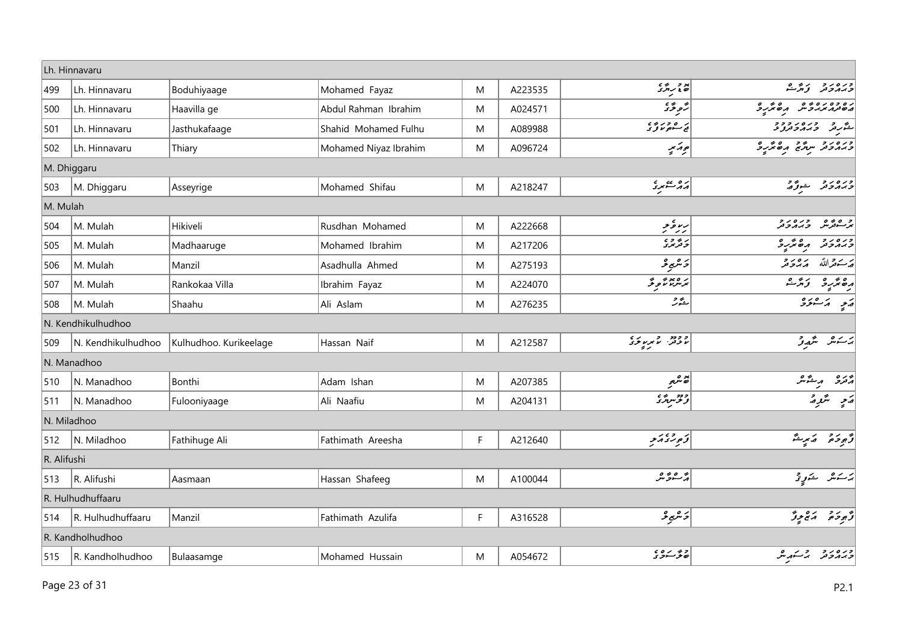|             | Lh. Hinnavaru      |                        |                       |           |         |                              |                                                   |
|-------------|--------------------|------------------------|-----------------------|-----------|---------|------------------------------|---------------------------------------------------|
| 499         | Lh. Hinnavaru      | Boduhiyaage            | Mohamed Fayaz         | ${\sf M}$ | A223535 | بر د پر<br>مان پر در         | ورەر دېر م                                        |
| 500         | Lh. Hinnavaru      | Haavilla ge            | Abdul Rahman Ibrahim  | M         | A024571 | رٌّ وِ وُ دَ                 | גם כם גם כם הם משקב.<br>גם מאמיני ביינה הם מקב    |
| 501         | Lh. Hinnavaru      | Jasthukafaage          | Shahid Mohamed Fulhu  | ${\sf M}$ | A089988 | ر ۱۶۵۵ ور<br>نئے سعوم تو ت   | ر در دره دود<br>را در در در دود                   |
| 502         | Lh. Hinnavaru      | Thiary                 | Mohamed Niyaz Ibrahim | ${\sf M}$ | A096724 | حودتمسيه                     | כנסנב תחיי תסתנב                                  |
|             | M. Dhiggaru        |                        |                       |           |         |                              |                                                   |
| 503         | M. Dhiggaru        | Asseyrige              | Mohamed Shifau        | M         | A218247 | پره يو په<br>  پره شوېږي     | ورەرو شۆۋە                                        |
| M. Mulah    |                    |                        |                       |           |         |                              |                                                   |
| 504         | M. Mulah           | Hikiveli               | Rusdhan Mohamed       | M         | A222668 | ر رو ء<br>بر ر               | و ەپ ھەدەر د<br>برىسەترىش جەبەر تىر               |
| 505         | M. Mulah           | Madhaaruge             | Mohamed Ibrahim       | M         | A217206 | ر پر و ،<br>و تر پر ی        | כנהבת הפיציב                                      |
| 506         | M. Mulah           | Manzil                 | Asadhulla Ahmed       | M         | A275193 | ئەشىر ۋ                      | بر 2 بر 15<br>مربر <del>5</del> تر<br>مەسكەتراللە |
| 507         | M. Mulah           | Rankokaa Villa         | Ibrahim Fayaz         | M         | A224070 | رەبىرە<br>ئىر سرىيى ئىرىگى   | رە ئەر ئىر ئە                                     |
| 508         | M. Mulah           | Shaahu                 | Ali Aslam             | ${\sf M}$ | A276235 | يترحر                        | ړې پر ۱۳۶۵                                        |
|             | N. Kendhikulhudhoo |                        |                       |           |         |                              |                                                   |
| 509         | N. Kendhikulhudhoo | Kulhudhoo. Kurikeelage | Hassan Naif           | ${\sf M}$ | A212587 | و دود.<br>بالاترا، بالإبرامج | ئەسەش ئىگەنى                                      |
|             | N. Manadhoo        |                        |                       |           |         |                              |                                                   |
| 510         | N. Manadhoo        | Bonthi                 | Adam Ishan            | ${\sf M}$ | A207385 | قاشعر                        | أرده بريشر                                        |
| 511         | N. Manadhoo        | Fulooniyaage           | Ali Naafiu            | ${\sf M}$ | A204131 | و دو به پرې<br>تر تر سرچينې  | أەنىي سىمدە                                       |
|             | N. Miladhoo        |                        |                       |           |         |                              |                                                   |
| 512         | N. Miladhoo        | Fathihuge Ali          | Fathimath Areesha     | F         | A212640 | ئەمورىچە ئەستىر              | وُمِودَةٍ الأمرِثَّ                               |
| R. Alifushi |                    |                        |                       |           |         |                              |                                                   |
| 513         | R. Alifushi        | Aasmaan                | Hassan Shafeeg        | ${\sf M}$ | A100044 | ۇ ئەۋ بىر                    | ىرىكىش ئىكرىز                                     |
|             | R. Hulhudhuffaaru  |                        |                       |           |         |                              |                                                   |
| 514         | R. Hulhudhuffaaru  | Manzil                 | Fathimath Azulifa     | F         | A316528 | 5 ئىرى پى                    | وُمِوَدَةَ رَءُ وِوُّ                             |
|             | R. Kandholhudhoo   |                        |                       |           |         |                              |                                                   |
| 515         | R. Kandholhudhoo   | Bulaasamge             | Mohamed Hussain       | ${\sf M}$ | A054672 | ە ئۆسەدى<br>ھۆسىۋى           | ورەرو قرىكەرش                                     |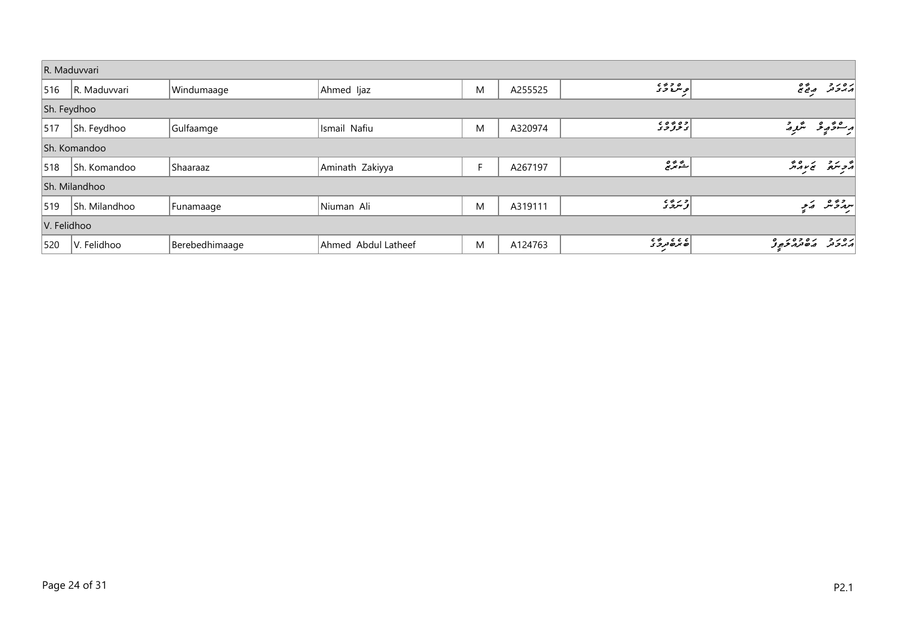|             | R. Maduvvari  |                 |                     |   |         |                                                |                               |           |
|-------------|---------------|-----------------|---------------------|---|---------|------------------------------------------------|-------------------------------|-----------|
| 516         | R. Maduvvari  | Windumaage      | Ahmed Ijaz          | M | A255525 | د ۱۵ وی د                                      |                               | أرور ورقع |
|             | Sh. Feydhoo   |                 |                     |   |         |                                                |                               |           |
| 517         | Sh. Feydhoo   | Gulfaamge       | Ismail Nafiu        | M | A320974 | وه وه ه ،<br>  د نوگر د د                      | أر شۇر ئىقىدۇ.                |           |
|             | Sh. Komandoo  |                 |                     |   |         |                                                |                               |           |
| 518         | Sh. Komandoo  | <b>Shaaraaz</b> | Aminath Zakiyya     |   | A267197 | ے پڑ چ                                         |                               | Rang Sush |
|             | Sh. Milandhoo |                 |                     |   |         |                                                |                               |           |
| 519         | Sh. Milandhoo | Funamaage       | Niuman Ali          | M | A319111 | و پر پر پر<br>توسر <del>ی</del> ر <sub>ک</sub> |                               | سرد و مو  |
| V. Felidhoo |               |                 |                     |   |         |                                                |                               |           |
| 520         | V. Felidhoo   | Berebedhimaage  | Ahmed Abdul Latheef | M | A124763 | ے بے ی دی<br>  ت <i>ق تر ژ</i> <sub>ک</sub>    | ر ٥ ۶ ٥ ٥ ٠<br>در ۱۵ تو بو تر | پر ۱۵ ر و |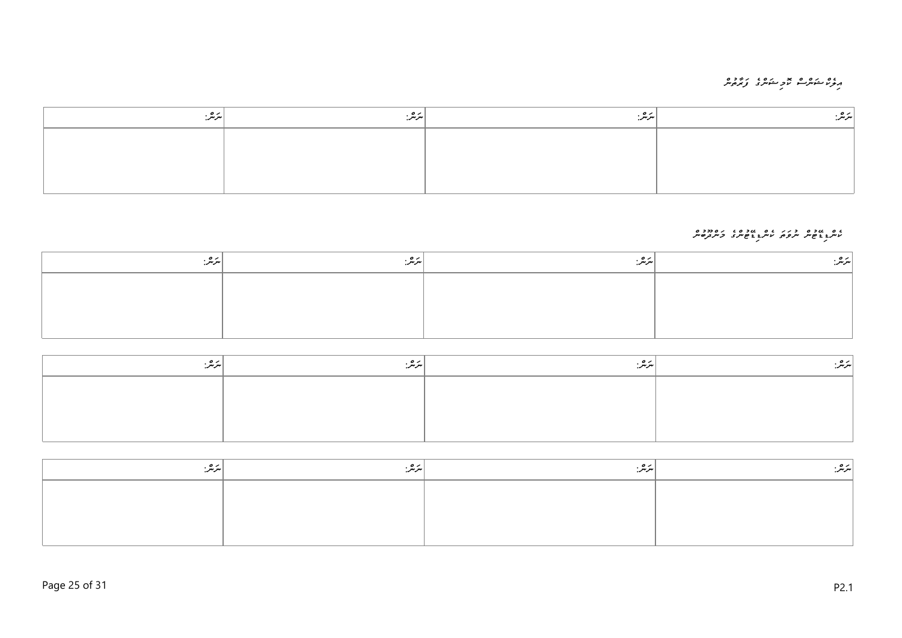## *w7qAn8m? sCw7mRo>u; wEw7mRw;sBo<*

| ' مرمر | 'يئرىثر: |
|--------|----------|
|        |          |
|        |          |
|        |          |

## *w7q9r@w7m> sCw7qHtFoFw7s; mAm=q7 w7qHtFoFw7s;*

| ىر تە | $\mathcal{O} \times$<br>$\sim$ | $\sim$<br>. . | لترنثر |
|-------|--------------------------------|---------------|--------|
|       |                                |               |        |
|       |                                |               |        |
|       |                                |               |        |

| انترنثر: | $^{\circ}$ | يبرهر | $^{\circ}$<br>سرسر |
|----------|------------|-------|--------------------|
|          |            |       |                    |
|          |            |       |                    |
|          |            |       |                    |

| ' ئىرتىر: | سر سر |  |
|-----------|-------|--|
|           |       |  |
|           |       |  |
|           |       |  |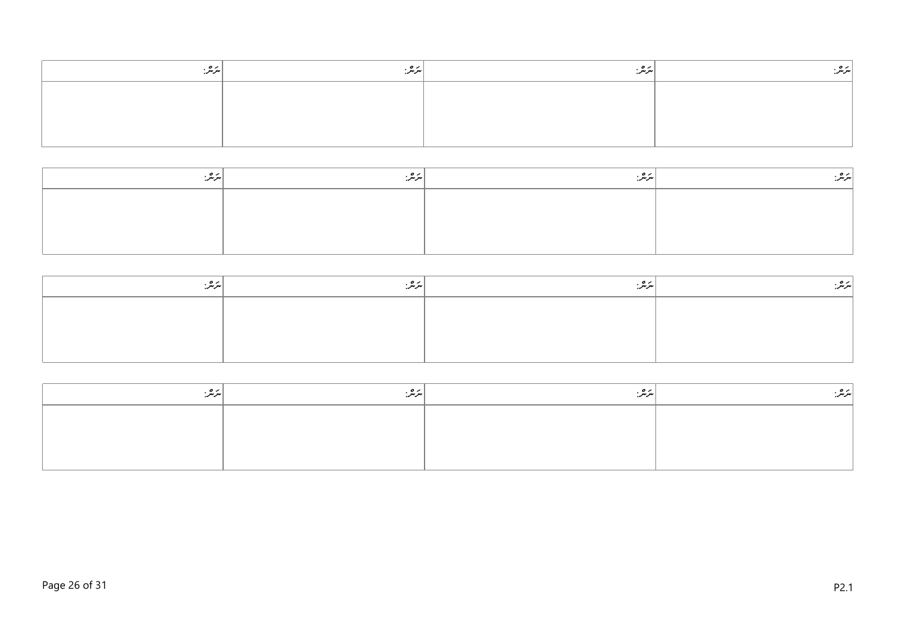| يره. | ο. | ا ير ه |  |
|------|----|--------|--|
|      |    |        |  |
|      |    |        |  |
|      |    |        |  |

| متريثر به | 。<br>'سرسر'۔ | يتزيترا | سرسر |
|-----------|--------------|---------|------|
|           |              |         |      |
|           |              |         |      |
|           |              |         |      |

| ىئرىتر. | $\sim$ | ا بر هه. | لىرىش |
|---------|--------|----------|-------|
|         |        |          |       |
|         |        |          |       |
|         |        |          |       |

| 。<br>مرس. | $\overline{\phantom{a}}$<br>مر سر | يتريثر |
|-----------|-----------------------------------|--------|
|           |                                   |        |
|           |                                   |        |
|           |                                   |        |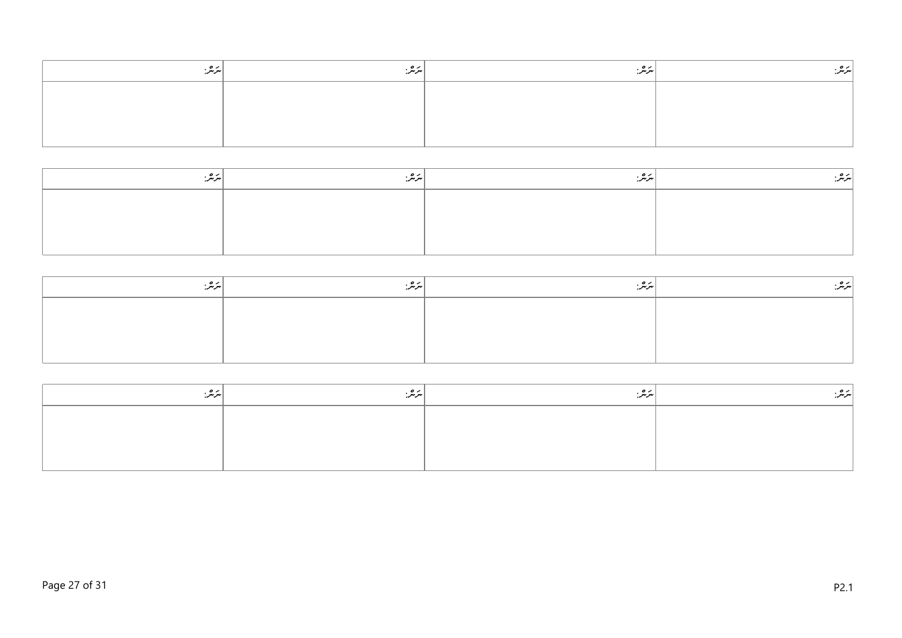| ير هو . | $\overline{\phantom{a}}$ | يرمر | اير هنه. |
|---------|--------------------------|------|----------|
|         |                          |      |          |
|         |                          |      |          |
|         |                          |      |          |

| ىر تىر: | $\circ$ $\sim$<br>" سرسر . | يبرحه | o . |
|---------|----------------------------|-------|-----|
|         |                            |       |     |
|         |                            |       |     |
|         |                            |       |     |

| 'تترنثر: | 。<br>,,,, |  |
|----------|-----------|--|
|          |           |  |
|          |           |  |
|          |           |  |

|  | . ه |
|--|-----|
|  |     |
|  |     |
|  |     |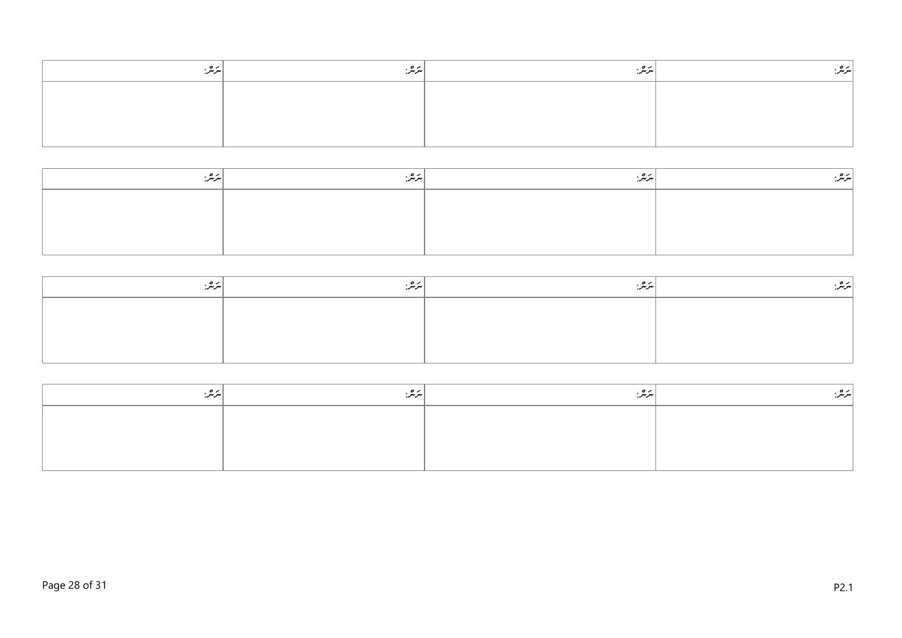| ير هو . | $\overline{\phantom{a}}$ | يرمر | اير هنه. |
|---------|--------------------------|------|----------|
|         |                          |      |          |
|         |                          |      |          |
|         |                          |      |          |

| ىر تىر: | $\circ$ $\sim$<br>" سرسر . | يبرحه | o . |
|---------|----------------------------|-------|-----|
|         |                            |       |     |
|         |                            |       |     |
|         |                            |       |     |

| انترنثر: | ر ه |  |
|----------|-----|--|
|          |     |  |
|          |     |  |
|          |     |  |

|  | . ه |
|--|-----|
|  |     |
|  |     |
|  |     |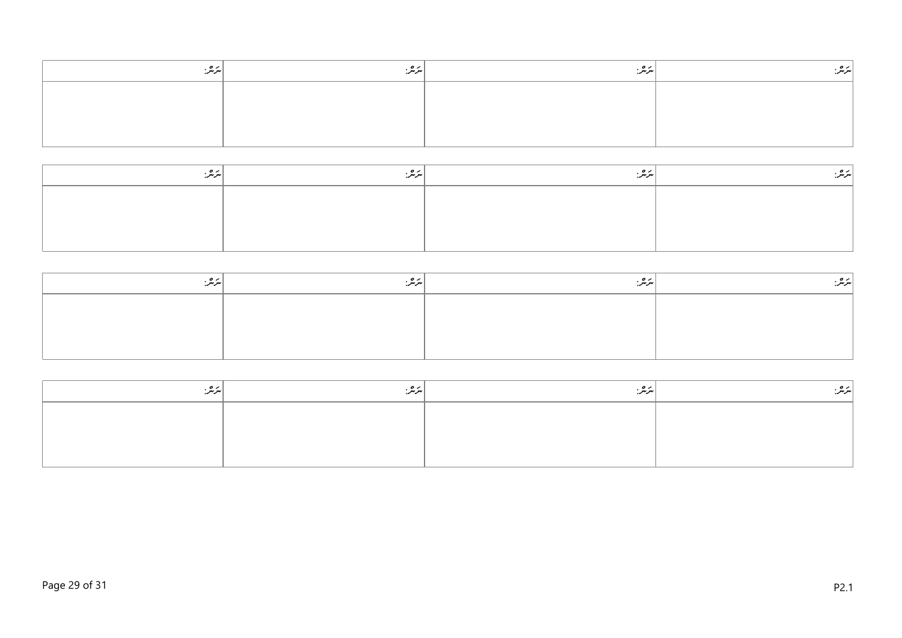| $\cdot$ | ο. | $\frac{\circ}{\cdot}$ | $\sim$<br>سرسر |
|---------|----|-----------------------|----------------|
|         |    |                       |                |
|         |    |                       |                |
|         |    |                       |                |

| ايرعر: | ر ه<br>. . |  |
|--------|------------|--|
|        |            |  |
|        |            |  |
|        |            |  |

| بر ه | 。 | $\sim$<br>َ سومس. |  |
|------|---|-------------------|--|
|      |   |                   |  |
|      |   |                   |  |
|      |   |                   |  |

| 。<br>. س | ىرىىر |  |
|----------|-------|--|
|          |       |  |
|          |       |  |
|          |       |  |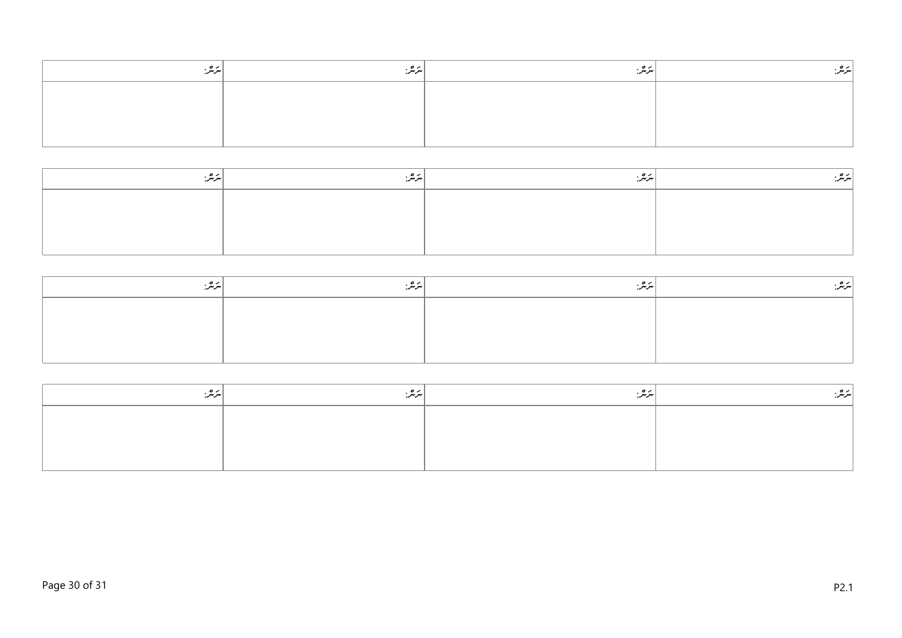| ير هو . | $\overline{\phantom{a}}$ | يرمر | اير هنه. |
|---------|--------------------------|------|----------|
|         |                          |      |          |
|         |                          |      |          |
|         |                          |      |          |

| ىر تىر: | $\circ$ $\sim$<br>" سرسر . | يبرحه | o . |
|---------|----------------------------|-------|-----|
|         |                            |       |     |
|         |                            |       |     |
|         |                            |       |     |

| 'تترنثر: | 。<br>,,,, |  |
|----------|-----------|--|
|          |           |  |
|          |           |  |
|          |           |  |

|  | . ه |
|--|-----|
|  |     |
|  |     |
|  |     |